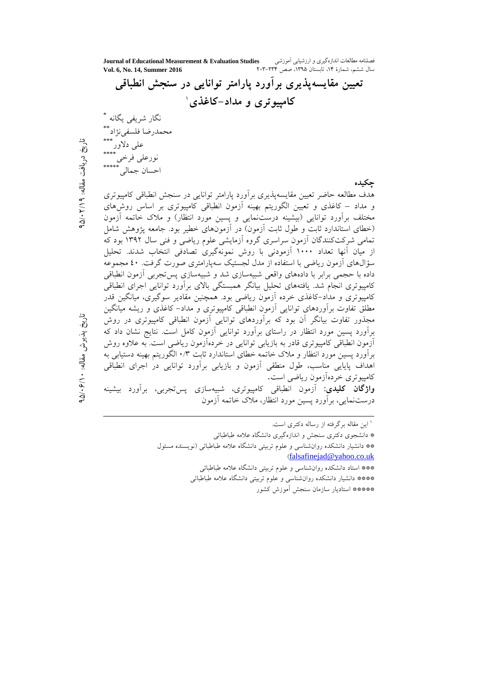فصلنامه مطالعات اندازهگیری و ارزشیابی اَموزشی<br>سال ششم، شمارهٔ ۱۴، تابستان ۱۳۹۵، صص ۲۰۳۴–۲۰۳ Journal of Educational Measurement & Evaluation Studies Vol. 6, No. 14, Summer 2016

<sup>۱</sup> این مقاله برگرفته از رساله دکتری است.

\*\*\* استاد دانشکده روانشناسی و علوم تربیتی دانشگاه علامه طباطبائی \*\*\*\* دانشیار دانشکده روان شناسی و علوم تربیتی دانشگاه علامه طباطبائی \*\*\*\*\* استاديار سازمان سنجش آموزش كشور

تاریخ دریافت مقاله: ۹ (۲/۱۰×۵/

تاريخ پذيرش مقاله: ۶/۱۰/هـ

<sup>\*</sup> دانشجوی دکتری سنجش و اندازهگیری دانشگاه علامه طباطبائی \*\* دانشیار دانشکده روان شناسی و علوم تربیتی دانشگاه علامه طباطبائی (نویسنده مسئول (falsafinejad@yahoo.co.uk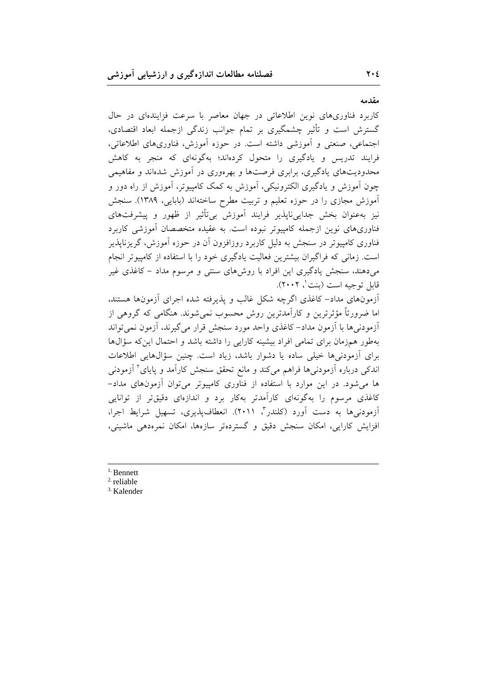## مقدمه

کاربرد فناوریهای نوین اطلاعاتی در جهان معاصر با سرعت فزایندهای در حال گسترش است و تأثیر چشمگیری بر تمام جوانب زندگی ازجمله ابعاد اقتصادی، اجتماعی، صنعتی و اَموزشی داشته است. در حوزه اَموزش، فناوریهای اطلاعاتی، فرایند تدریس و یادگیری را متحول کردهاند؛ بهگونهای که منجر به کاهش محدودیتهای یادگیری، برابری فرصتها و بهرهوری در آموزش شدهاند و مفاهیمی چون آموزش و یادگیری الکترونیکی، آموزش به کمک کامپیوتر، آموزش از راه دور و آموزش مجازی را در حوزه تعلیم و تربیت مطرح ساختهاند (بابایی، ۱۳۸۹). سنجش نیز بهعنوان بخش جدایی،ناپذیر فرایند آموزش بی¤أثیر از ظهور و پیشرفتهای فناوری های نوین از جمله کامپیوتر نبوده است. به عقیده متخصصان آموزشی کاربرد فناوری کامپیوتر در سنجش به دلیل کاربرد روزافزون آن در حوزه آموزش، گریزناپذیر است. زمانی که فراگیران بیشترین فعالیت یادگیری خود را با استفاده از کامپیوتر انجام میدهند، سنجش یادگیری این افراد با روشهای سنتی و مرسوم مداد – کاغذی غیر قابل توجيه است (بنت '، ٢٠٠٢).

آزمونهای مداد– کاغذی اگرچه شکل غالب و پذیرفته شده اجرای آزمونها هستند، اما ضرورتاً مؤثرترین و کارآمدترین روش محسوب نمیشوند. هنگامی که گروهی از أزمودنيها با أزمون مداد– كاغذى واحد مورد سنجش قرار مى گيرند، أزمون نمى تواند بهطور همزمان برای تمامی افراد بیشینه کارایی را داشته باشد و احتمال این که سؤال ها برای آزمودنیها خیلی ساده یا دشوار باشد، زیاد است. چنین سؤالهایی اطلاعات اندکی درباره آزمودنیها فراهم میکند و مانع تحقق سنجش کارآمد و پایای<sup>۲</sup> آزمودنی ها می شود. در این موارد با استفاده از فناوری کامپیوتر می توان آزمونهای مداد-کاغذی مرسوم را بهگونهای کارآمدتر بهکار برد و اندازهای دقیقتر از توانایی آزمودنی ها به دست آورد (کلندر"، ۲۰۱۱). انعطافپذیری، تسهیل شرایط اجرا، افزايش كارايي، امكان سنجش دقيق و گستردهتر سازهها، امكان نمرهدهي ماشيني،

- $1.$  Bennett
- $2$  reliable
- <sup>3.</sup> Kalender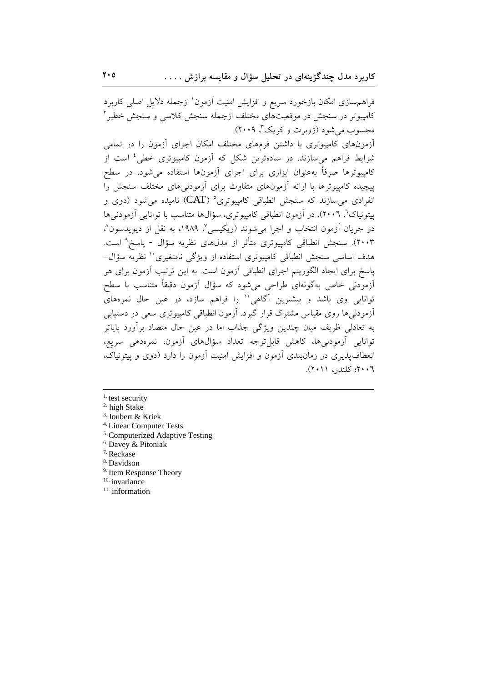فراهم سازی امکان بازخورد سریع و افزایش امنیت آزمون ٰ ازجمله دلایل اصلی کاربرد کامپیوتر در سنجش در موقعیتهای مختلف ازجمله سنجش کلاسی و سنجش خطیر آ محسوب می شود (ژویرت و کریک"، ۲۰۰۹).

آزمونهای کامپیوتری با داشتن فرمهای مختلف امکان اجرای آزمون را در تمامی شرایط فراهم میسازند. در سادهترین شکل که آزمون کامپیوتری خطی<sup>،</sup> است از کامپیوترها صرفاً بهعنوان ابزاری برای اجرای آزمونها استفاده می شود. در سطح پیچیده کامپیوترها با ارائه آزمونهای متفاوت برای آزمودنیهای مختلف سنجش را انفرادي مي سازند كه سنجش انطباقي كامپيوتري° (CAT) ناميده مي شود (دوي و پیتونیاک'، ۲۰۰٦). در آزمون انطباقی کامپیوتری، سؤالها متناسب با توانایی آزمودنیها در جريان آزمون انتخاب و اجرا مي شوند (ريكيسي ٌ، ١٩٨٩، به نقل از ديويدسون ُ، ۲۰۰۳). سنجش انطباقی کامپیوتری متأثر از مدلهای نظریه سؤال - پاسخ<sup>۹</sup> است. هدف اساسی سنجش انطباقی کامپیوتری استفاده از ویژگی نامتغیری `` نظریه سؤال− یاسخ برای ایجاد الگوریتم اجرای انطباقی آزمون است. به این ترتیب آزمون برای هر أزمودنی خاص بهگونهای طراحی میشود که سؤال أزمون دقیقاً متناسب با سطح توانایی وی باشد و بیشترین آگاهی'' را فراهم سازد، در عین حال نمرههای ازمودنیها روی مقیاس مشترک قرار گیرد. آزمون انطباقی کامپیوتری سعی در دستیابی به تعادلی ظریف میان چندین ویژگی جذاب اما در عین حال متضاد برآورد یایاتر توانايي آزمودنيها، كاهش قابل توجه تعداد سؤالهاي آزمون، نمرهدهي سريع، انعطاف پذیری در زمانبندی آزمون و افزایش امنیت آزمون را دارد (دوی و پیتونیاک، ٢٠٠٦؛ كلندر، ٢٠١١).

- <sup>4.</sup> Linear Computer Tests
- <sup>5.</sup> Computerized Adaptive Testing
- <sup>6.</sup> Davey & Pitoniak
- <sup>7.</sup> Reckase
- <sup>8.</sup> Davidson
- <sup>9.</sup> Item Response Theory
- <sup>10.</sup> invariance
- $11.$  information

 $<sup>1</sup>$  test security</sup>

<sup>&</sup>lt;sup>2.</sup> high Stake

<sup>&</sup>lt;sup>3.</sup> Joubert & Kriek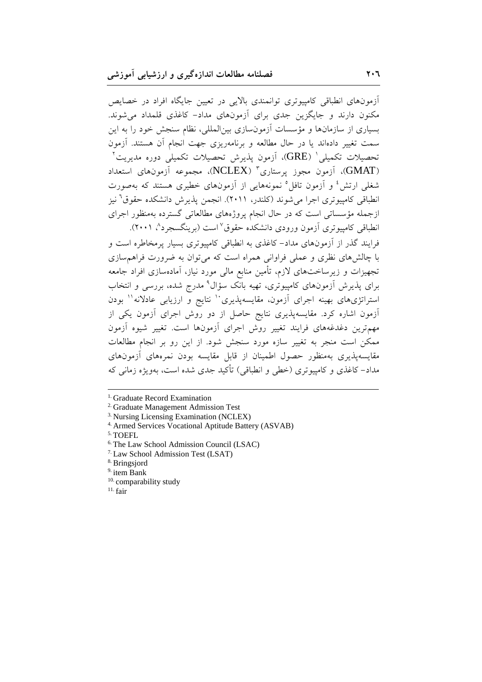آزمونهای انطباقی کامپیوتری توانمندی بالایی در تعیین جایگاه افراد در خصایص مکنون دارند و جایگزین جدی برای آزمونهای مداد- کاغذی قلمداد می شوند. بسیاری از سازمانها و مؤسسات آزمونسازی بین|لمللی، نظام سنجش خود را به این سمت تغییر دادهاند یا در حال مطالعه و برنامهریزی جهت انجام أن هستند. أزمون تحصیلات تکمیلی ' (GRE)، آزمون پذیرش تحصیلات تکمیلی دوره مدیریت ' (GMAT))، آزمون مجوز پرستاری" (NCLEX)، مجموعه آزمونهای استعداد شغلی ارتش<sup>؛</sup> و آزمون تافل° نمونههایی از آزمونهای خطیری هستند که بهصورت انطباقی کامپیوتری اجرا می شوند (کلندر، ۲۰۱۱). انجمن پذیرش دانشکده حقوق<sup>7</sup> نیز ازجمله مؤسساتی است که در حال انجام پروژههای مطالعاتی گسترده بهمنظور اجرای انطباقی کامپیوتری آزمون ورودی دانشکده حقوق ٌ است (برینگسجرد ؓ، ۲۰۰۱). فرایند گذر از آزمونهای مداد– کاغذی به انطباقی کامپیوتری بسیار پرمخاطره است و با چالشهای نظری و عملی فراوانی همراه است که میتوان به ضرورت فراهم سازی تجهیزات و زیرساختهای لازم، تأمین منابع مالی مورد نیاز، آمادهسازی افراد جامعه برای پذیرش آزمونهای کامپیوتری، تهیه بانک سؤال<sup>۹</sup> مدرج شده، بررسی و انتخاب استراتژیهای بهینه اجرای آزمون، مقایسهپذیری<sup>۱۰</sup> نتایج و ارزیابی عادلانه<sup>۱۱</sup> بودن آزمون اشاره کرد. مقایسهپذیری نتایج حاصل از دو روش اجرای آزمون یکی از مهمترین دغدغههای فرایند تغییر روش اجرای آزمونها است. تغییر شیوه آزمون ممکن است منجر به تغییر سازه مورد سنجش شود. از این رو بر انجام مطالعات مقایسه پذیری بهمنظور حصول اطمینان از قابل مقایسه بودن نمرههای آزمونهای مداد– کاغذی و کامپیوتری (خطی و انطباقی) تأکید جدی شده است، بهویژه زمانی که

<sup>&</sup>lt;sup>1.</sup> Graduate Record Examination

<sup>&</sup>lt;sup>2</sup> Graduate Management Admission Test

<sup>&</sup>lt;sup>3.</sup> Nursing Licensing Examination (NCLEX)

<sup>&</sup>lt;sup>4.</sup> Armed Services Vocational Aptitude Battery (ASVAB)

<sup>&</sup>lt;sup>5.</sup> TOEFL

<sup>&</sup>lt;sup>6.</sup> The Law School Admission Council (LSAC)

<sup>&</sup>lt;sup>7.</sup> Law School Admission Test (LSAT)

<sup>&</sup>lt;sup>8.</sup> Bringsjord

 $9.$  item Bank

<sup>&</sup>lt;sup>10.</sup> comparability study

 $11.$  fair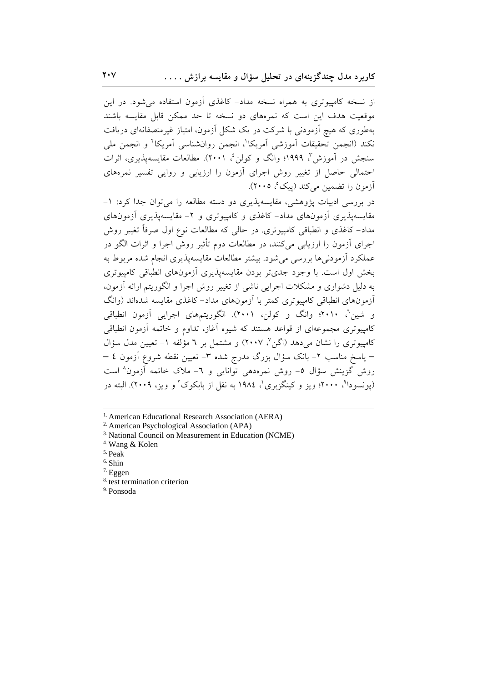از نسخه کامپیوتری به همراه نسخه مداد– کاغذی آزمون استفاده می شود. در این موقعیت هدف این است که نمرههای دو نسخه تا حد ممکن قابل مقایسه باشند بهطوری که هیچ آزمودنی با شرکت در یک شکل آزمون، امتیاز غیرمنصفانهای دریافت نكند (انجمن تحقيقات أموزشي أمريكا'، انجمن روانشناسي أمريكا' و انجمن ملي سنجش در آموزش"، ۱۹۹۹؛ وانگ و کولن'، ۲۰۰۱). مطالعات مقایسهپذیری، اثرات احتمالی حاصل از تغییر روش اجرای آزمون را ارزیابی و روایی تفسیر نمرههای آزمون را تضمین می کند (پیک°، ۲۰۰۵).

در بررسی ادبیات پژوهشی، مقایسهپذیری دو دسته مطالعه را می توان جدا کرد: ۱-مقایسهپذیری آزمونهای مداد- کاغذی و کامپیوتری و ۲- مقایسهپذیری آزمونهای مداد– کاغذی و انطباقی کامپیوتری. در حالی که مطالعات نوع اول صرفاً تغییر روش اجرای آزمون را ارزیابی میکنند، در مطالعات دوم تأثیر روش اجرا و اثرات الگو در عملکرد آزمودنی ها بررسی می شود. بیشتر مطالعات مقایسه پذیری انجام شده مربوط به بخش اول است. با وجود جدیتر بودن مقایسهپذیری آزمونهای انطباقی کامپیوتری به دلیل دشواری و مشکلات اجرایی ناشی از تغییر روش اجرا و الگوریتم ارائه آزمون، أزمونهای انطباقی کامپیوتری کمتر با اَزمونهای مداد– کاغذی مقایسه شدهاند (وانگ و شین<sup>7</sup>، ۲۰۱۰؛ وانگ و کولن، ۲۰۰۱). الگوریتمهای اجرایی آزمون انطباقی کامپیوتری مجموعهای از قواعد هستند که شیوه آغاز، تداوم و خاتمه آزمون انطباقی كامپيوتري را نشان مي دهد (اگن ْ، ٢٠٠٧) و مشتمل بر ٦ مؤلفه ١- تعيين مدل سؤال – پاسخ مناسب ۲– بانک سؤال بزرگ مدرج شده ۳– تعیین نقطه شروع آزمون ٤ – روش گزینش سؤال ٥- روش نمرهدهی توانایی و ٦- ملاک خاتمه آزمون^ است (يونسودا<sup>۹</sup>، ۲۰۰۰؛ ويز و كينگزيږي<sup>(</sup>، ١٩٨٤ په نقل از پايكوك<sup>۲</sup> و ويز، ۲۰۰۹). البته در

<sup>6.</sup> Shin

<sup>9.</sup> Ponsoda

<sup>&</sup>lt;sup>1.</sup> American Educational Research Association (AERA)

<sup>&</sup>lt;sup>2.</sup> American Psychological Association (APA)

<sup>&</sup>lt;sup>3.</sup> National Council on Measurement in Education (NCME)

<sup>&</sup>lt;sup>4.</sup> Wang & Kolen

 $^{\rm 5.}$  Peak

 $7.$  Eggen

<sup>&</sup>lt;sup>8.</sup> test termination criterion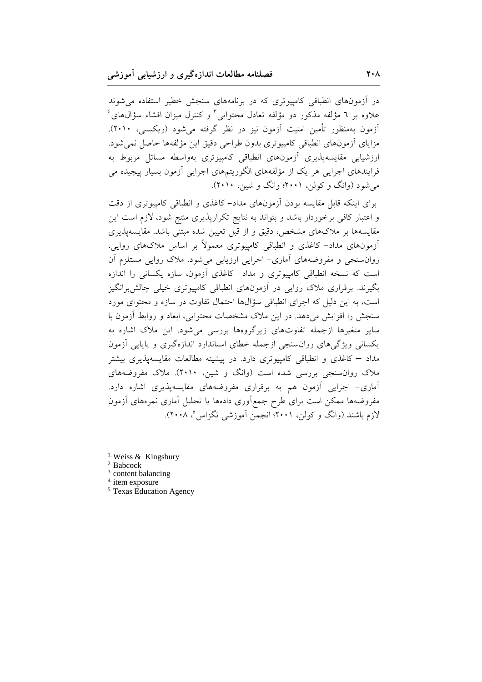در آزمونهای انطباقی کامپیوتری که در برنامههای سنجش خطیر استفاده می شوند علاوه بر ٦ مؤلفه مذكور دو مؤلفه تعادل محتوايي ّ و كنترل ميزان افشاء سؤالهاي ُ آزمون بهمنظور تأمين امنيت آزمون نيز در نظر گرفته مي شود (ريكيسي، ٢٠١٠). مزاياى أزمونهاى انطباقى كامپيوترى بدون طراحى دقيق اين مؤلفهها حاصل نمى شود. ارزشیابی مقایسهپذیری آزمونهای انطباقی کامپیوتری بهواسطه مسائل مربوط به فرایندهای اجرایی هر یک از مؤلفههای الگوریتمهای اجرایی آزمون بسیار پیچیده می می شود (وانگ و کولن، ۲۰۰۱؛ وانگ و شین، ۲۰۱۰).

برای اینکه قابل مقایسه بودن آزمونهای مداد- کاغذی و انطباقی کامپیوتری از دقت و اعتبار کافی برخوردار باشد و بتواند به نتایج تکرارپذیری منتج شود، لازم است این مقایسهها بر ملاکهای مشخص، دقیق و از قبل تعیین شده مبتنی باشد. مقایسهپذیری آزمونهای مداد– کاغذی و انطباقی کامپیوتری معمولاً بر اساس ملاکهای روایی، روانسنجی و مفروضههای آماری- اجرایی ارزیابی می شود. ملاک روایی مستلزم آن است که نسخه انطباقی کامپیوتری و مداد- کاغذی آزمون، سازه یکسانی را اندازه یگیرند. برقراری ملاک روایی در آزمونهای انطباقی کامپیوتری خیلی چالش برانگیز است، به این دلیل که اجرای انطباقی سؤالها احتمال تفاوت در سازه و محتوای مورد سنجش را افزایش میدهد. در این ملاک مشخصات محتوایی، ابعاد و روابط آزمون با سایر متغیرها ازجمله تفاوتهای زیرگروهها بررسی میشود. این ملاک اشاره به یکسانی ویژگیهای روانسنجی ازجمله خطای استاندارد اندازهگیری و پایایی آزمون مداد – کاغذی و انطباقی کامپیوتری دارد. در پیشینه مطالعات مقایسهپذیری بیشتر ملاک روان سنجی بررسی شده است (وانگ و شین، ۲۰۱۰). ملاک مفروضههای آماری- اجرایی آزمون هم به برقراری مفروضههای مقایسهپذیری اشاره دارد. مفروضهها ممكن است براى طرح جمع|ورى دادهها يا تحليل أمارى نمرههاى أزمون لازم باشند (وانگ و کولن، ۲۰۰۱؛ انجمن آموزشی تگزاس °، ۲۰۰۸).

<sup>&</sup>lt;sup>1.</sup> Weiss & Kingsbury

<sup>&</sup>lt;sup>2.</sup> Babcock

 $3.$  content balancing

 $4.$  item exposure

<sup>&</sup>lt;sup>5.</sup> Texas Education Agency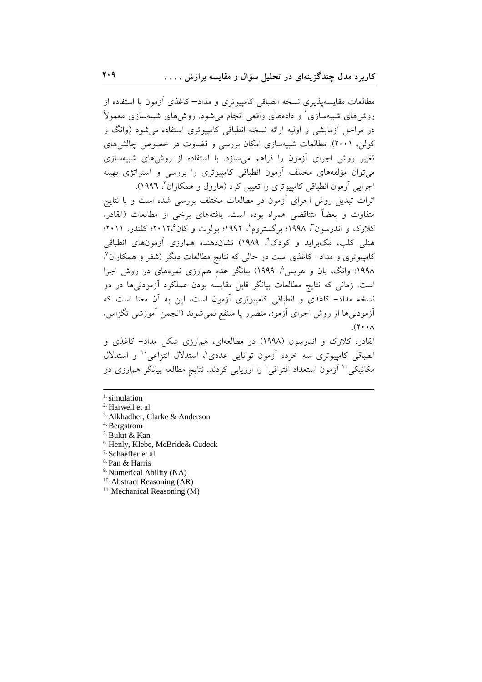مطالعات مقایسهپذیری نسخه انطباقی کامپیوتری و مداد–کاغذی آزمون با استفاده از روش۵مای شبیهسازی' و دادههای واقعی انجام میشود. روش۵ای شبیهسازی معمولاً در مراحل اَزمایشی و اولیه ارائه نسخه انطباقی کامپیوتری استفاده می شود (وانگ و کولن، ۲۰۰۱). مطالعات شبیهسازی امکان بررسی و قضاوت در خصوص چالشهای تغییر روش اجرای آزمون را فراهم می سازد. با استفاده از روشهای شبیهسازی می توان مؤلفههای مختلف آزمون انطباقی کامپیوتری را بررسی و استراتژی بهینه اجرایی آزمون انطباقی کامپیوتری را تعیین کرد (هارول و همکاران٬ ۱۹۹۲).

اثرات تبدیل روش اجرای آزمون در مطالعات مختلف بررسی شده است و با نتایج متفاوت و بعضاً متناقضي همراه بوده است. يافتههاي برخي از مطالعات (القادر، کلارک و اندرسون"، ۱۹۹۸؛ برگستروم، ۱۹۹۲؛ بولوت و کان ۲۰۱۲، کلندر، ۲۰۱۱؛ هنلی کلب، مکبراید و کودک'، ۱۹۸۹) نشاندهنده همارزی آزمونهای انطباقی کامپیوتری و مداد–کاغذی است در حالی که نتایج مطالعات دیگر (شفر و همکاران<sup>۷</sup>، ۱۹۹۸؛ وانگ، یان و هریس^ ۱۹۹۹) بیانگر عدم همارزی نمرههای دو روش اجرا است. زمانی که نتایج مطالعات بیانگر قابل مقایسه بودن عملکرد آزمودنیها در دو نسخه مداد– کاغذی و انطباقی کامپیوتری آزمون است، این به آن معنا است که أزمودنىها از روش اجراى أزمون متضرر يا متنفع نمىشوند (انجمن أموزشى تگزاس،  $(\Upsilon \cdot \cdot \wedge$ 

القادر، کلارک و اندرسون (۱۹۹۸) در مطالعهای، همارزی شکل مداد- کاغذی و انطباقی کامپیوتری سه خرده آزمون توانایی عددی^، استدلال انتزاعی `` و استدلال مکانیکی'' آزمون استعداد افتراقی' را ارزیابی کردند. نتایج مطالعه بیانگر همارزی دو

- <sup>3.</sup> Alkhadher, Clarke & Anderson
- <sup>4.</sup> Bergstrom
- <sup>5.</sup> Bulut & Kan
- <sup>6.</sup> Henly, Klebe, McBride& Cudeck
- $7.$  Schaeffer et al
- <sup>8.</sup> Pan & Harris
- <sup>9.</sup> Numerical Ability (NA)
- $10.$  Abstract Reasoning (AR)
- $11.$  Mechanical Reasoning (M)

 $<sup>1</sup>$  simulation</sup>

<sup>&</sup>lt;sup>2.</sup> Harwell et al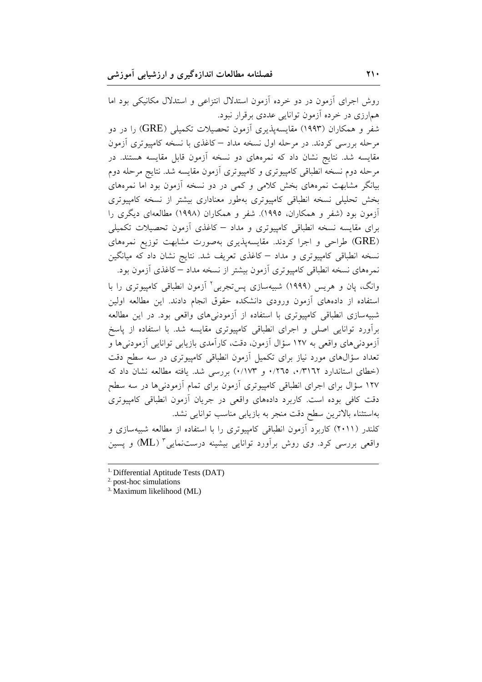روش اجرای آزمون در دو خرده آزمون استدلال انتزاعی و استدلال مکانیکی بود اما همارزی در خرده آزمون توانایی عددی برقرار نبود. شفر و همکاران (۱۹۹۳) مقایسهپذیری آزمون تحصیلات تکمیلی (GRE) را در دو مرحله بررسی کردند. در مرحله اول نسخه مداد – کاغذی با نسخه کامپیوتری آزمون مقایسه شد. نتایج نشان داد که نمرههای دو نسخه آزمون قابل مقایسه هستند. در مرحله دوم نسخه انطباقی کامپیوتری و کامپیوتری آزمون مقایسه شد. نتایج مرحله دوم بیانگر مشابهت نمرههای بخش کلامی و کمی در دو نسخه آزمون بود اما نمرههای بخش تحلیلی نسخه انطباقی کامپیوتری بهطور معناداری بیشتر از نسخه کامپیوتری آزمون بود (شفر و همکاران، ۱۹۹۵). شفر و همکاران (۱۹۹۸) مطالعهای دیگری را برای مقایسه نسخه انطباقی کامپیوتری و مداد – کاغذی آزمون تحصیلات تکمیلی (GRE) طراحی و اجرا کردند. مقایسهپذیری بهصورت مشابهت توزیع نمرههای نسخه انطباقی کامپیوتری و مداد – کاغذی تعریف شد. نتایج نشان داد که میانگین نمرههای نسخه انطباقی کامپیوتری آزمون بیشتر از نسخه مداد – کاغذی آزمون بود. وانگ، یان و هریس (۱۹۹۹) شبیهسازی پستجربی<sup>۲</sup> آزمون انطباقی کامپیوتری را با استفاده از دادههای آزمون ورودی دانشکده حقوق انجام دادند. این مطالعه اولین شبیهسازی انطباقی کامپیوتری با استفاده از آزمودنیهای واقعی بود. در این مطالعه برآورد توانایی اصلی و اجرای انطباقی کامپیوتری مقایسه شد. با استفاده از پاسخ آزمودنی های واقعی به ۱۲۷ سؤال آزمون، دقت، کارآمدی بازیابی توانایی آزمودنی ها و تعداد سؤال های مورد نیاز برای تکمیل آزمون انطباقی کامپیوتری در سه سطح دقت (خطای استاندارد ۰/۳۱٦۲ م، ۰/۲٦٥ و ۰/۱۷۳) بررسی شد. یافته مطالعه نشان داد که ۱۲۷ سؤال برای اجرای انطباقی کامپیوتری آزمون برای تمام آزمودنیها در سه سطح دقت کافی بوده است. کاربرد دادههای واقعی در جریان آزمون انطباقی کامپیوتری بهاستثناء بالاترین سطح دقت منجر به بازیابی مناسب توانایی نشد. کلندر (۲۰۱۱) کاربرد آزمون انطباقی کامپیوتری را با استفاده از مطالعه شبیهسازی و واقعی بررسی کرد. وی روش برآورد توانایی بیشینه درستنمایی " (ML) و پسین

<sup>&</sup>lt;sup>1.</sup> Differential Aptitude Tests (DAT)

 $2$  post-hoc simulations

<sup>&</sup>lt;sup>3.</sup> Maximum likelihood (ML)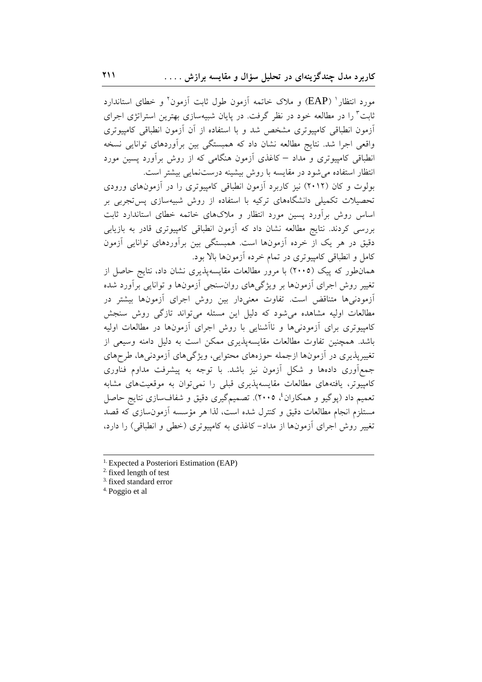مورد انتظار<sup>ا</sup> (EAP) و ملاک خاتمه آزمون طول ثابت آزمون<sup>۲</sup> و خطای استاندارد ثابت<sup>۳</sup> را در مطالعه خود در نظر گرفت. در پایان شبیهسازی بهترین استراتژی اجرای أزمون انطباقی کامپیوتری مشخص شد و با استفاده از آن أزمون انطباقی کامپیوتری واقعی اجرا شد. نتایج مطالعه نشان داد که همبستگی بین برآوردهای توانایی نسخه انطباقی کامپیوتری و مداد – کاغذی آزمون هنگامی که از روش برآورد پسین مورد انتظار استفاده می شود در مقایسه با روش بیشینه درستنمایی بیشتر است.

بولوت و کان (۲۰۱۲) نیز کاربرد آزمون انطباقی کامپیوتری را در آزمونهای ورودی .<br>تحصیلات تکمیلی دانشگاههای ترکیه با استفاده از روش شبیهسازی پستجربی بر اساس روش برأورد پسین مورد انتظار و ملاکهای خاتمه خطای استاندارد ثابت بررسی کردند. نتایج مطالعه نشان داد که آزمون انطباقی کامپیوتری قادر به بازیابی دقیق در هر یک از خرده آزمونها است. همبستگی بین برآوردهای توانایی آزمون کامل و انطباقی کامپیوتری در تمام خرده آزمونها بالا بود.

همانطور که پیک (۲۰۰۵) با مرور مطالعات مقایسهپذیری نشان داد، نتایج حاصل از تغییر روش اجرای آزمونها بر ویژگیهای روانسنجی آزمونها و توانایی برآورد شده آزمودن<sub>ی</sub>ها متناقض است. تفاوت معنیدار بین روش اجرای آزمونها بیشتر در مطالعات اولیه مشاهده میشود که دلیل این مسئله میتواند تازگی روش سنجش کامپیوتری برای آزمودنیها و ناآشنایی با روش اجرای آزمونها در مطالعات اولیه باشد. همچنین تفاوت مطالعات مقایسهپذیری ممکن است به دلیل دامنه وسیعی از تغییریذیری در آزمونها ازجمله حوزههای محتوایی، ویژگیهای آزمودنیها، طرحهای جمع آوری دادهها و شکل آزمون نیز باشد. با توجه به پیشرفت مداوم فناوری کامپیوتر، یافتههای مطالعات مقایسهپذیری قبلی را نمی توان به موقعیتهای مشابه تعمیم داد (پوگیو و همکاران ٔ، ۲۰۰۵). تصمیمگیری دقیق و شفافسازی نتایج حاصل مستلزم انجام مطالعات دقیق و کنترل شده است، لذا هر مؤسسه آزمونٍسازی که قصد تغییر روش اجرای آزمونها از مداد– کاغذی به کامپیوتری (خطی و انطباقی) را دارد،

<sup>&</sup>lt;sup>1.</sup> Expected a Posteriori Estimation (EAP)

 $2.$  fixed length of test

<sup>&</sup>lt;sup>3.</sup> fixed standard error

<sup>&</sup>lt;sup>4.</sup> Poggio et al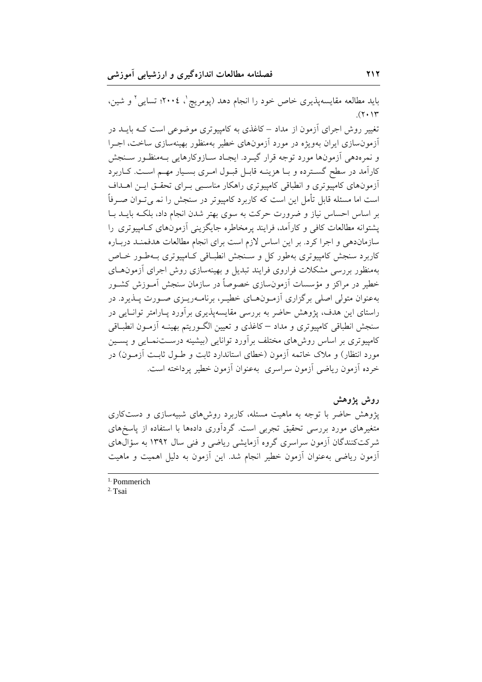باید مطالعه مقایسهپذیری خاص خود را انجام دهد (پومریچ ٔ، ۲۰۰۶؛ تسایی ٔ و شین،  $(7.17$ 

تغییر روش اجرای آزمون از مداد –کاغذی به کامپیوتری موضوعی است کـه بایــد در آزمون سازی ایران بهویژه در مورد آزمونهای خطیر بهمنظور بهینهسازی ساخت، اجـرا و نمرهدهي أزمونها مورد توجه قرار گيـرد. ايجـاد سـازوكارهايي بـهمنظـور سـنجش کاراًمد در سطح گسترده و بـا هزینـه قابـل قبـول امـری بسـيار مهـم اسـت. كـاربرد أزمونهای کامپیوتری و انطباقی کامپیوتری راهکار مناسبی بـرای تحقـق ایـن اهــداف است اما مسئله قابل تأمل این است که کاربرد کامپیوتر در سنجش را نم پیتوان صـرفاً بر اساس احساس نیاز و ضرورت حرکت به سوی بهتر شدن انجام داد، بلکـه بایــد بــا یشتوانه مطالعات کافی و کارآمد، فرایند پرمخاطره جایگزینی آزمونهای کـامیپوتری را سازماندهی و اجرا کرد. بر این اساس لازم است برای انجام مطالعات هدفمنـد دربـاره کاربرد سنجش کامپیوتری بهطور کل و سـنجش انطبـاقی کـامپیوتری بـهطـور خـاص بهمنظور بررسی مشکلات فراروی فرایند تبدیل و بهینهسازی روش اجرای آزمونهـای خطیر در مراکز و مؤسسات آزمونِسازی خصوصاً در سازمان سنجش آمـوزش کشـور بهعنوان متولی اصلی برگزاری آزمـون۱مـای خطیـر، برنامـهریـزی صـورت پــذیرد. در راستای این هدف، پژوهش حاضر به بررسی مقایسهپذیری برآورد پـارامتر توانـایی در سنجش انطباقي كامييوتري و مداد – كاغذى و تعيين الگـوريتم بهينـه أزمـون انطبــاقى کامپیوتری بر اساس روش۵های مختلف برآورد توانایی (بیشینه درســتنمــایی و پســین مورد انتظار) و ملاک خاتمه آزمون (خطای استاندارد ثابت و طــول ثابــت آزمــون) در خرده أزمون رياضي أزمون سراسري بهعنوان أزمون خطير يرداخته است.

روش يژوهش یژوهش حاضر با توجه به ماهیت مسئله، کاربرد روش های شبیهسازی و دستکاری متغیرهای مورد بررسی تحقیق تجربی است. گرداَوری دادهها با استفاده از یاسخهای شرکتکنندگان آزمون سراسری گروه آزمایشی ریاضی و فنی سال ۱۳۹۲ به سؤالهای آزمون ریاضی بهعنوان آزمون خطیر انجام شد. این آزمون به دلیل اهمیت و ماهیت

 $1.$  Pommerich

<sup>&</sup>lt;sup>2.</sup> Tsai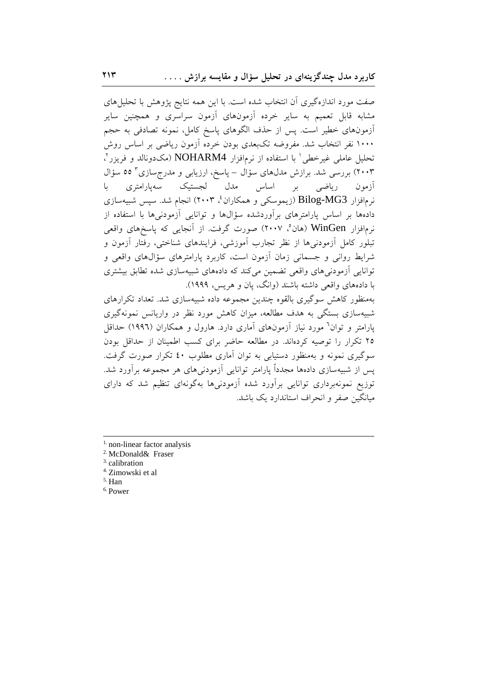صفت مورد اندازهگیری آن انتخاب شده است. با این همه نتایج پژوهش با تحلیل های مشابه قابل تعمیم به سایر خرده آزمونهای آزمون سراسری و همچنین سایر ۔<br>ازمونہای خطیر است<sub>.</sub> پس از حذف الگوہای پاسخ کامل، نمونه تصادفی به حجم ۱۰۰۰ نفر انتخاب شد. مفروضه تکبعدی بودن خرده آزمون ریاضی بر اساس روش تحلیل عاملی غیرخطی ٰ با استفاده از نرمافزار NOHARM4 (مکدونالد و فریزر ْ، ۲۰۰۳) بررسی شد. برازش مدلهای سؤال – پاسخ، ارزیابی و مدرجسازی ۵۵ سؤال ریاضی بر اساس مدل لجستیک سهپارامتری  $\cup$ آز مو ن نرمافزار Bilog-MG3 (زیموسکی و همکاران<sup>؛</sup>، ۲۰۰۳) انجام شد. سپس شبیهسازی دادهها بر اساس پارامترهای برآوردشده سؤالها و توانایی آزمودنیها با استفاده از نرمافزار WinGen (هان°، ۲۰۰۷) صورت گرفت. از آنجایی که پاسخهای واقعی تبلور كامل آزمودنىها از نظر تجارب آموزشى، فرايندهاى شناختى، رفتار أزمون و شرایط روانی و جسمانی زمان آزمون است، کاربرد پارامترهای سؤال های واقعی و توانایی اَزمودنی های واقعی تضمین می کند که دادههای شیبهسازی شده تطابق بیشتری با دادههای واقعی داشته باشند (وانگ، یان و هریس، ۱۹۹۹). بهمنظور کاهش سوگیری بالقوه چندین مجموعه داده شبیهسازی شد. تعداد تکرارهای شبیهسازی بستگی به هدف مطالعه، میزان کاهش مورد نظر در واریانس نمونهگیری

یارامتر و توان<sup>7</sup> مورد نیاز آزمونهای آماری دارد. هارول و همکاران (۱۹۹۲) حداقل ۲۵ تکرار را توصیه کردهاند. در مطالعه حاضر برای کسب اطمینان از حداقل بودن سوگیری نمونه و بهمنظور دستیابی به توان آماری مطلوب ٤٠ تکرار صورت گرفت. یس از شبیهسازی دادهها مجدداً پارامتر توانایی آزمودنیهای هر مجموعه برآورد شد. توزیع نمونهبرداری توانایی برآورد شده آزمودنیها بهگونهای تنظیم شد که دارای مبانگین صفر و انحراف استاندارد یک باشد.

- $<sup>1</sup>$  non-linear factor analysis</sup>
- <sup>2.</sup> McDonald& Fraser

<sup>3</sup> calibration

<sup>4.</sup> Zimowski et al

 $5.$  Han

<sup>6.</sup> Power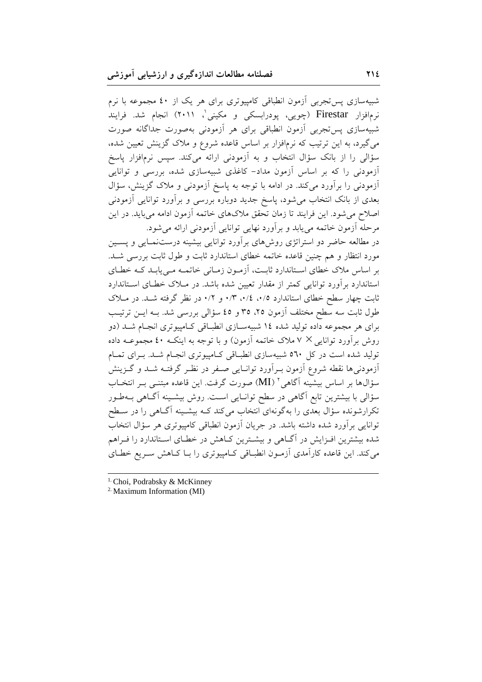شبیهسازی پس تجربی آزمون انطباقی کامپیوتری برای هر یک از ٤٠ مجموعه با نرم نرمافزار Firestar (چویی، پودرابسکی و مکینی'، ۲۰۱۱) انجام شد. فرایند شبیهسازی پس تجربی آزمون انطباقی برای هر آزمودنی بهصورت جداگانه صورت میگیرد، به این ترتیب که نرمافزار بر اساس قاعده شروع و ملاک گزینش تعیین شده، سؤالی را از بانک سؤال انتخاب و به آزمودنی ارائه میکند. سپس نرمافزار پاسخ آزمودنی را که بر اساس آزمون مداد– کاغذی شبیهسازی شده، بررسی و توانایی آزمودنی را برآورد میکند. در ادامه با توجه به پاسخ آزمودنی و ملاک گزینش، سؤال بعدی از بانک انتخاب میشود، پاسخ جدید دوباره بررسی و برآورد توانایی آزمودنی اصلاح میشود. این فرایند تا زمان تحقق ملاکهای خاتمه آزمون ادامه میباید. در این مرحله آزمون خاتمه می پابد و برآورد نهایی توانایی آزمودنی ارائه می شود.

در مطالعه حاضر دو استراتژی روش های برآورد توانایی بیشینه درستنمـایی و پسـین مورد انتظار و هم چنین قاعده خاتمه خطای استاندارد ثابت و طول ثابت بررسی شـد. بر اساس ملاک خطای استاندارد ثابت، آزمون زمـانی خاتمـه مـی پابـد کـه خطـای استاندارد برآورد توانایی کمتر از مقدار تعیین شده باشد. در مـلاک خطـای اسـتاندارد ثابت چهار سطح خطای استاندارد ۰/۵، ۰/٤، ۰/۳، و ۰/۲ در نظر گرفته شـد. در مـلاک طول ثابت سه سطح مختلف آزمون ۲۵، ۳۵ و ٤٥ سؤالی بررسی شد. بــه ایــن ترتیــب برای هر مجموعه داده تولید شده ۱۶ شبیهسازی انطباقی کـامپیوتری انجـام شـد (دو روش برآورد توانایی × ۷ ملاک خاتمه آزمون) و با توجه به اینکـه ٤٠ مجموعــه داده تولید شده است در کل ٥٦٠ شبیهسازی انطباقی کـامییوتری انجـام شـد. بـرای تمـام ۔<br>آزمودنی ها نقطه شروع آزمون بے آورد توانـایی صـفر در نظـر گرفتـه شـد و گـزینش سؤالها بر اساس بیشینه آگاهی `` (MI) صورت گرفت. این قاعده مبتنــی بــر انتخــاب سؤالی با بیشترین تابع آگاهی در سطح توانـایی اسـت. روش بیشـینه آگــاهی بــهطـور تکرارشونده سؤال بعدی را بهگونهای انتخاب میکند کـه بیشـینه اَگــاهی را در سـطح توانایی برآورد شده داشته باشد. در جریان آزمون انطباقی کامپیوتری هر سؤال انتخاب شده بیشترین افـزایش در آگــاهی و بیشــترین کــاهش در خطــای اســتاندارد را فــراهم می کند. این قاعده کارآمدی آزمـون انطبـاقی کـامپیوتری را بـا کـاهش سـریع خطـای

<sup>&</sup>lt;sup>1.</sup> Choi, Podrabsky & McKinney

<sup>&</sup>lt;sup>2.</sup> Maximum Information (MI)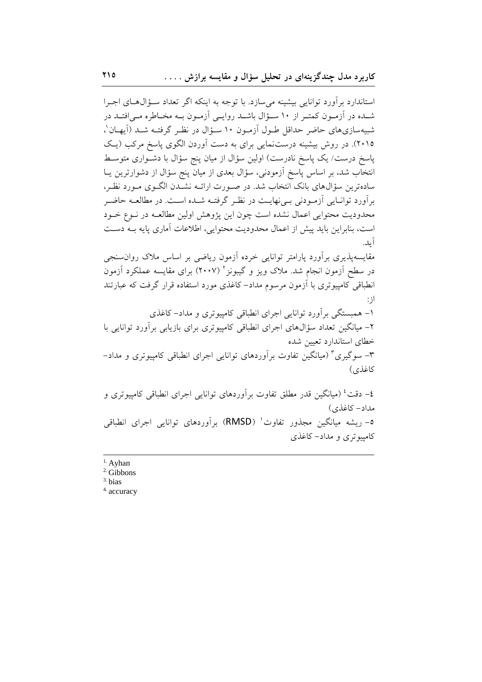استاندارد برآورد توانایی بیشینه میسازد. با توجه به اینکه اگر تعداد سؤال های اجرا شـده در آزمـون کمتـر از ۱۰ سـؤال باشـد روايـي آزمـون بــه مخـاطره مــیافتــد در شبیهسازیهای حاضر حداقل طـول آزمـون ۱۰ سـؤال در نظـر گرفتـه شـد (آیهـان'، ۲۰۱۵). در روش بیشینه درستنمایی برای به دست آوردن الگوی پاسخ مرکب (یک پاسخ درست/ یک پاسخ نادرست) اولین سؤال از میان پنج سؤال با دشـواری متوسـط انتخاب شد، بر اساس پاسخ آزمودنی، سؤال بعدی از میان پنج سؤال از دشوارترین یــا سادهترین سؤالهای بانک انتخاب شد. در صـورت ارائـه نشـدن الگـوی مـورد نظـر، برآورد توانیایی آزمودنی بی نهایت در نظر گرفتـه شـده اسـت. در مطالعـه حاضـر محدودیت محتوایی اعمال نشده است چون این پژوهش اولین مطالعـه در نـوع خـود است، بنابراین باید پیش از اعمال محدودیت محتوایی، اطلاعات آماری پایه بـه دسـت آىد.

مقایسه پذیری برآورد پارامتر توانایی خرده آزمون ریاضی بر اساس ملاک روان سنجی در سطح آزمون انجام شد. ملاک ویز و گیبونز ۲ (۲۰۰۷) برای مقایسه عملکرد آزمون انطباقی کامپیوتری با آزمون مرسوم مداد-کاغذی مورد استفاده قرار گرفت که عبارتند  $\cdot$ ;

۱– همبستگی برآورد توانایی اجرای انطباقی کامپیوتری و مداد–کاغذی ۲– میانگین تعداد سؤال&ای اجرای انطباقی کامپیوتری برای بازیابی برآورد توانایی با خطاى استاندارد تعيين شده ۳– سوگیری۳ (میانگین تفاوت برآوردهای توانایی اجرای انطباقی کامپیوتری و مداد– كاغذى)

٤– دقت ٔ (میانگین قدر مطلق تفاوت بر اَوردهای توانایی اجرای انطباقی کامپیوتری و مداد- كاغذى) 0– ریشه میانگین مجذور تفاوت` (RMSD) برآوردهای توانایی اجرای انطباقی کامپیوتری و مداد– کاغذی

- $<sup>1</sup>$ . Ayhan</sup>
- $2$  Gibbons
- $3. \text{bias}$
- <sup>4.</sup> accuracy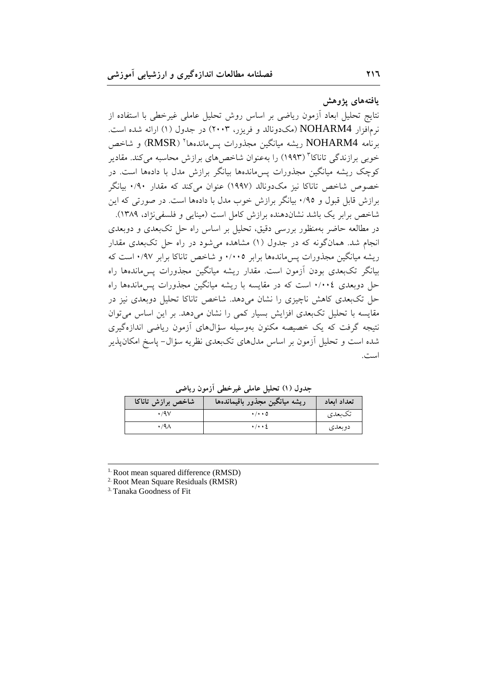يافتههاى يژوهش

دوبعدى

نتايج تحليل ابعاد أزمون رياضي بر اساس روش تحليل عاملي غيرخطي با استفاده از نرمافزار NOHARM4 (مکدونالد و فریزر، ۲۰۰۳) در جدول (۱) ارائه شده است. برنامه NOHARM4 ريشه ميانگين مجذورات يسbاندهها `` (RMSR) و شاخص خوبی برازندگی تاناکا" (۱۹۹۳) را بهعنوان شاخص های برازش محاسبه می کند. مقادیر کوچک ریشه میانگین مجذورات پس ماندهها بیانگر برازش مدل با دادهها است. در خصوص شاخص تاناکا نیز مکدونالد (۱۹۹۷) عنوان میکند که مقدار ۰/۹۰ بیانگر برازش قابل قبول و ۰/۹٥ بیانگر برازش خوب مدل با دادهها است. در صورتی که این شاخص برابر یک باشد نشاندهنده برازش کامل است (مینایی و فلسفی نژاد، ۱۳۸۹).

در مطالعه حاضر بهمنظور بررسی دقیق، تحلیل بر اساس راه حل تکبعدی و دوبعدی انجام شد. همانگونه که در جدول (۱) مشاهده میشود در راه حل تکبعدی مقدار ریشه میانگین مجذورات پس۵لندهها برابر ۰/۰۰۵ و شاخص تاناکا برابر ۰/۹۷ است که بیانگر تکبعدی بودن آزمون است. مقدار ریشه میانگین مجذورات پس ماندهها راه حل دوبعدی ۰/۰۰٤ است که در مقایسه با ریشه میانگین مجذورات پس ماندهها راه حل تکبعدی کاهش ناچیزی را نشان میدهد. شاخص تاناکا تحلیل دوبعدی نیز در مقایسه با تحلیل تکبعدی افزایش بسیار کمی را نشان میدهد. بر این اساس میتوان نتیجه گرفت که یک خصیصه مکنون بهوسیله سؤالهای آزمون ریاضی اندازهگیری شده است و تحلیل آزمون بر اساس مدلهای تکبعدی نظریه سؤال- پاسخ امکانپذیر است.

جدول (١) تحلیل عاملی غیرخطی آزمون ریاضی ريشه ميانگين مجذور باقيماندهها شاخص برازش تاناكا تعداد ابعاد  $\cdot$ /9 $\vee$  $\cdot/\cdot\cdot$ 0 تكبعدي

 $\cdot/\cdot\cdot$  {

<sup>1.</sup> Root mean squared difference (RMSD)

 $\cdot$  /9 $\wedge$ 

<sup>2.</sup> Root Mean Square Residuals (RMSR)

<sup>3.</sup> Tanaka Goodness of Fit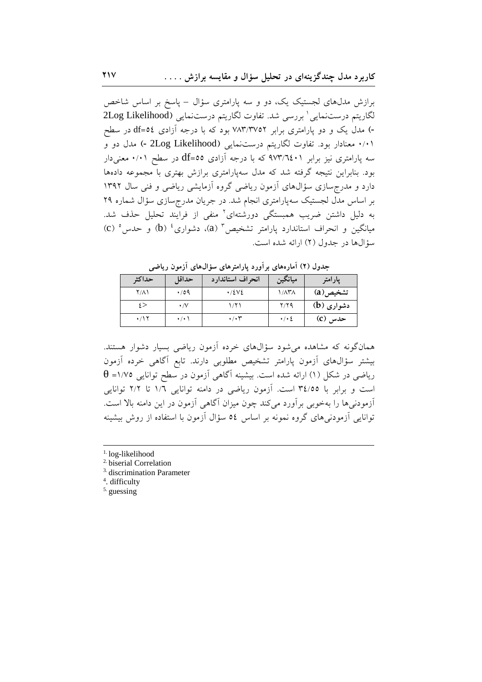برازش مدلهای لجستیک یک، دو و سه پارامتری سؤال – پاسخ بر اساس شاخص لگاريتم درستنمايي لبررسي شد. تفاوت لگاريتم درستنمايي (2Log Likelihood -) مدل یک و دو پارامتری برابر ۷۸۳/۳۷۵۲ بود که با درجه آزادی df=0٤ در سطح ۰/۰۱ معنادار بود. تفاوت لگاریتم درستنمایی (2Log Likelihood -) مدل دو و سه یارامتری نیز برابر ۹۷۳٬٦٤۰۱ که با درجه آزادی df=00 در سطح ۰/۰۱ معنیدار بود. بنابراین نتیجه گرفته شد که مدل سهپارامتری برازش بهتری با مجموعه دادهها دارد و مدرجسازی سؤالهای آزمون ریاضی گروه آزمایشی ریاضی و فنی سال ۱۳۹۲ بر اساس مدَّل لجستیک سەپارامتری انجام شد. در جریان مدرجسازی سؤال شماره ۲۹ به دلیل داشتن ضریب همبستگی دورشتهای<sup>۲</sup> منفی از فرایند تحلیل حذف شد. (c) (d) (d) (a) (a) تشخیص (a) (d) دشواری  $^{3}$  (b) (d) و حدس (c) (d) (d) (d) (d) (d) (d) (d) (d) (d)  $^{4}$  (d)  $^{4}$ سؤالها در جدول (٢) ارائه شده است.

| ີ           |                     |                          |                         |            |
|-------------|---------------------|--------------------------|-------------------------|------------|
| حداكثر      | حداقل               | انحراف استاندارد         | ميانگين                 | يارامتر    |
| $Y/\Lambda$ | $\cdot$ /09         | $\cdot$ /٤٧٤             | $1/\lambda$ ۳ $\Lambda$ | تشخيص(a)   |
| ٤>          | $\cdot/\vee$        | ۱۱۲۱                     | Y/Y                     | دشواری (b) |
| $\cdot$ /17 | $\cdot$ / $\cdot$ \ | $\cdot$ / $\cdot$ $\tau$ | $\cdot$ / $\cdot$ 2     | حدس (C)    |

حدول (٢) آمارههای بر آورد پارامترهای سؤالهای آزمون ریاضی

همانگونه که مشاهده می شود سؤالهای خرده آزمون ریاضی بسیار دشوار هستند. بیشتر سؤال،های آزمون پارامتر تشخیص مطلوبی دارند. تابع آگاهی خرده آزمون  $\theta$  -۱/۷۵ ریاضی در شکل (۱) ارائه شده است. بیشینه آگاهی آزمون در سطح توانایی ۱/۷۵= است و برابر با ۳٤/٥٥ است. آزمون ریاضی در دامنه توانایی ١/٦ تا ٢/٢ توانایی أزمودنه ٍها را بهخوبي برأورد مي كند چون ميزان أگاهي أزمون در اين دامنه بالا است. توانایی آزمودنی های گروه نمونه بر اساس ٥٤ سؤال آزمون با استفاده از روش بیشینه

- <sup>1.</sup> log-likelihood
- <sup>2.</sup> biserial Correlation
- <sup>3.</sup> discrimination Parameter
- <sup>4</sup>. difficulty
- $5.$  guessing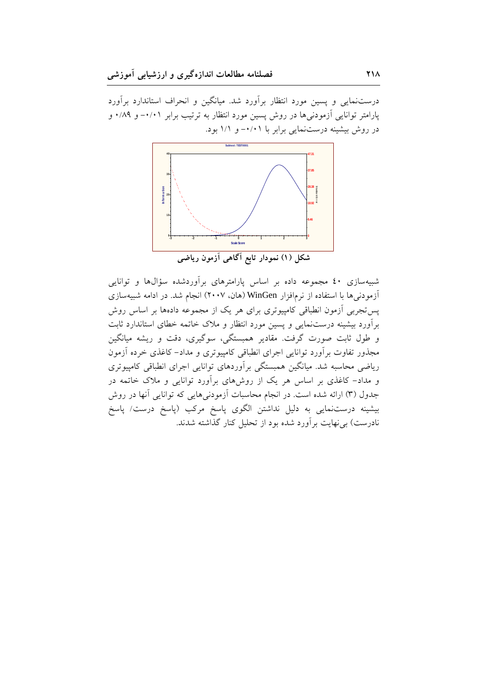درستنمایی و پسین مورد انتظار برآورد شد. میانگین و انحراف استاندارد برآورد پارامتر توانایی آزمودنیها در روش پسین مورد انتظار به ترتیب برابر ۰/۰۱- و ۰/۸۹ در روش بیشینه درستنمایی برابر با ۰/۰۱- و ۱/۱ بود.



شکل (۱) نمودار تابع آگاهی آزمون ریاضی

شبیهسازی ٤٠ مجموعه داده بر اساس پارامترهای برآوردشده سؤالها و توانایی آزمودنی ها با استفاده از نرمافزار WinGen (هان، ۲۰۰۷) انجام شد. در ادامه شبیهسازی یس تجربی آزمون انطباقی کامپیوتری برای هر یک از مجموعه دادهها بر اساس روش برآورد بیشینه درستنمایی و پسین مورد انتظار و ملاک خاتمه خطای استاندارد ثابت و طول ثابت صورت گرفت. مقادیر همبستگی، سوگیری، دقت و ریشه میانگین مجذور تفاوت برأورد توانایی اجرای انطباقی کامپیوتری و مداد–کاغذی خرده أزمون ریاضی محاسبه شد. میانگین همبستگی برآوردهای توانایی اجرای انطباقی کامپیوتری و مداد- کاغذی بر اساس هر یک از روشهای برآورد توانایی و ملاک خاتمه در جدول (۳) ارائه شده است. در انجام محاسبات آزمودنیهایی که توانایی آنها در روش بیشینه درست.مایی به دلیل نداشتن الگوی پاسخ مرکب (پاسخ درست/ پاسخ نادرست) بی نهایت بر آورد شده بود از تحلیل کنار گذاشته شدند.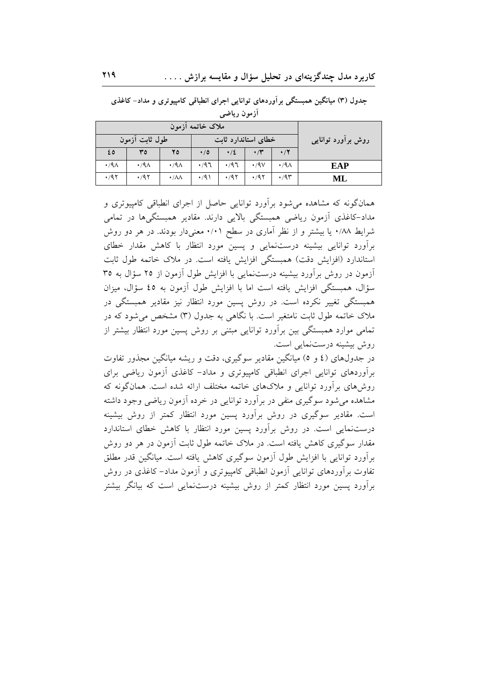|                    | ملاک خاتمه آزمون    |                     |             |                |                        |                     |                     |
|--------------------|---------------------|---------------------|-------------|----------------|------------------------|---------------------|---------------------|
| روش برأورد توانايي |                     | خطای استاندارد ثابت |             | طول ثابت آزمون |                        |                     |                     |
|                    | $\cdot/7$           | $\cdot$ /۳          | $\cdot/2$   | $\cdot/0$      | 20                     | ٣٥                  | ٤٥                  |
| <b>EAP</b>         | $\cdot$ /9 $\wedge$ | $\cdot$ /9 $\vee$   | $\cdot$ /97 | $\cdot$ /97    | $\cdot$ /9 $\wedge$    | $\cdot$ /9 $\wedge$ | $\cdot$ /9 $\wedge$ |
| ML                 | $\cdot$ /9۳         | .47                 | .47         | $\cdot$ /9)    | $\cdot/\lambda\lambda$ | .47                 | .797                |

جدول (۳) میانگین همبستگی برآوردهای توانایی اجرای انطباقی کامپیوتری و مداد- کاغذی أزمون رياضي

همانگونه که مشاهده می شود برآورد توانایی حاصل از اجرای انطباقی کامپیوتری و مداد-کاغذی آزمون ریاضی همبستگی بالایی دارند. مقادیر همبستگیها در تمامی شرایط ۰/۸۸ یا بیشتر و از نظر آماری در سطح ۰/۰۱ معنیدار بودند. در هر دو روش برآورد توانایی بیشینه درستنمایی و پسین مورد انتظار با کاهش مقدار خطای استاندارد (افزایش دقت) همبستگی افزایش یافته است. در ملاک خاتمه طول ثابت آزمون در روش برآورد بیشینه درستنمایی با افزایش طول آزمون از ۲۵ سؤال به ۳۵ سؤال، همبستگی افزایش یافته است اما با افزایش طول آزمون به ٤٥ سؤال، میزان همبستگی تغییر نکرده است. در روش پسین مورد انتظار نیز مقادیر همبستگی در ملاک خاتمه طول ثابت نامتغیر است. با نگاهی به جدول (۳) مشخص می شود که در تمامی موارد همبستگی بین برآورد توانایی مبتنی بر روش پسین مورد انتظار بیشتر از روش بیشینه درستنمایی است.

در جدولهای (٤ و ٥) میانگین مقادیر سوگیری، دقت و ریشه میانگین مجذور تفاوت برآوردهای توانایی اجرای انطباقی کامپیوتری و مداد- کاغذی آزمون ریاضی برای روش های بر اَورد توانایی و ملاکهای خاتمه مختلف ارائه شده است. همانگونه که مشاهده می شود سوگیری منفی در برآورد توانایی در خرده آزمون ریاضی وجود داشته است. مقادیر سوگیری در روش برآورد پسین مورد انتظار کمتر از روش بیشینه درستنمایی است. در روش برآورد پسین مورد انتظار با کاهش خطای استاندارد مقدار سوگیری کاهش یافته است. در ملاک خاتمه طول ثابت آزمون در هر دو روش برآورد توانایی با افزایش طول آزمون سوگیری کاهش یافته است. میانگین قدر مطلق تفاوت برآوردهای توانایی اَزمون انطباقی کامپیوتری و اَزمون مداد– کاغذی در روش برآورد پسین مورد انتظار کمتر از روش بیشینه درستنمایی است که بیانگر بیشتر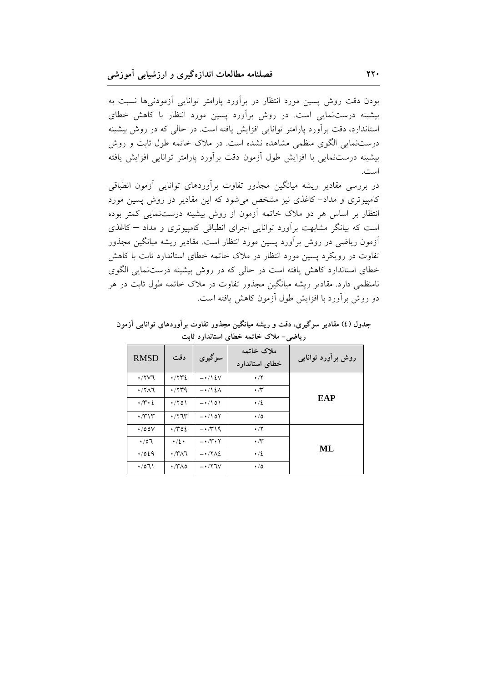بودن دقت روش پسین مورد انتظار در برأورد پارامتر توانایی أزمودنیها نسبت به بیشینه درستنمایی است. در روش برآورد پسین مورد انتظار با کاهش خطای استاندارد، دقت برأورد پارامتر توانایی افزایش یافته است. در حالی که در روش بیشینه درستنمایی الگوی منظمی مشاهده نشده است. در ملاک خاتمه طول ثابت و روش بیشینه درستنمایی با افزایش طول أزمون دقت برأورد پارامتر توانایی افزایش یافته است.

در بررسی مقادیر ریشه میانگین مجذور تفاوت برأوردهای توانایی أزمون انطباقی کامپیوتری و مداد- کاغذی نیز مشخص می شود که این مقادیر در روش پسین مورد انتظار بر اساس هر دو ملاک خاتمه أزمون از روش بیشینه درست $نمایی کمتر بوده$ است که بیانگر مشابهت برآورد توانایی اجرای انطباقی کامپیوتری و مداد – کاغذی أزمون ریاضی در روش برأورد پسین مورد انتظار است. مقادیر ریشه میانگین مجذور تفاوت در رویکرد پسین مورد انتظار در ملاک خاتمه خطای استاندارد ثابت با کاهش خطای استاندارد کاهش یافته است در حالی که در روش بیشینه درست $نمایی الگوی$ نامنظمی دارد. مقادیر ریشه میانگین مجذور تفاوت در ملاک خاتمه طول ثابت در هر دو روش برأورد با افزایش طول أزمون كاهش یافته است.

| روش برآورد توانایی | ملاک خاتمه<br>خطای استاندارد | سوگیری                             | دقت                                  | <b>RMSD</b>         |
|--------------------|------------------------------|------------------------------------|--------------------------------------|---------------------|
|                    | $\cdot/7$                    | $-\cdot$ /12V                      | $\cdot$ / $\uparrow\uparrow\uparrow$ | $\cdot$ /۲ $\vee$ ٦ |
|                    | $\cdot \pi$                  | $-\cdot$ /12 $\Lambda$             | .774                                 | $\cdot$ /۲۸٦        |
| <b>EAP</b>         | $\cdot/2$                    | $-\cdot/101$                       | $\cdot$ /۲٥۱                         | $\cdot \pi \cdot 2$ |
|                    | $\cdot/0$                    | $-\cdot/\sqrt{27}$                 | $\cdot$ / $\uparrow$                 | $\cdot$ /۳۱۳        |
|                    | $\cdot/7$                    | $-\cdot$ /۳۱۹                      | $\cdot$ / $\sim$ 02                  | $\cdot$ /00V        |
|                    | $\cdot \pi$                  | $-\cdot$ / $\cdot$ $\cdot$ $\cdot$ | $\cdot/2$ .                          | .07                 |
| ML                 | $\cdot/2$                    | $-17\lambda$                       | $\cdot$ /۳۸٦                         | .7029               |
|                    | $\cdot/0$                    | $ \cdot$ / $7\sqrt{V}$             | $\cdot$ /۳۸٥                         | $\cdot$ /071        |

جدول (٤) مقادیر سوگیری، دقت و ریشه میانگین مجذور تفاوت براوردهای توانایی ازمون ریاض*ی*– ملاک خاتمه خطای استاندارد ثابت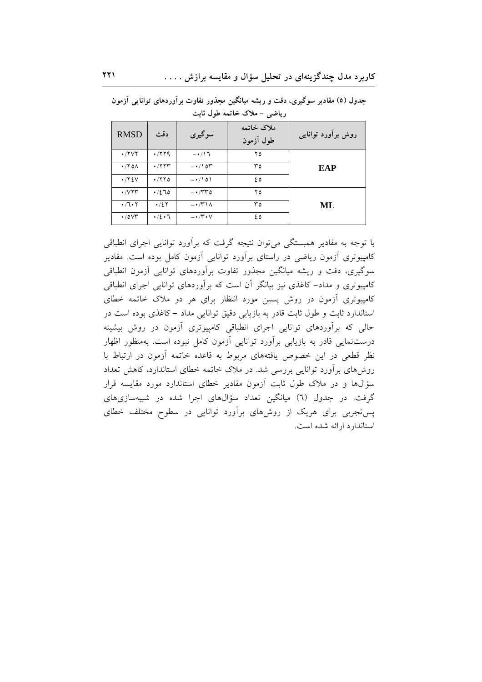| <b>RMSD</b>                   | دقت               | سوگیری                                     | ملاک خاتمه<br>طول آزمون | روش برآورد توانایی |
|-------------------------------|-------------------|--------------------------------------------|-------------------------|--------------------|
| $\cdot$ /۲۷۲                  | .779              | $-\cdot/17$                                | ۲٥                      |                    |
| $\cdot$ /۲٥ $\wedge$          | $\cdot$ /۲۲۳      | $-\cdot/1$ or                              | ٣٥                      | EAP                |
| $\cdot$ / $\gamma$ { $\vee$   | $\cdot$ /۲۲٥      | $-\cdot/101$                               | ه ٤                     |                    |
| $\cdot$ / $V\Upsilon\Upsilon$ | .7270             | $- \cdot \pi r$                            | ۲٥                      |                    |
| $\cdot$ /7 $\cdot$ 7          | $\cdot$ /2 $\tau$ | $-\cdot$ / $\uparrow$ \ $\wedge$           | ۳٥                      | ML                 |
| $\cdot$ /0 $\vee$             | $\cdot/2 \cdot 7$ | $-\cdot$ / $\mathcal{V} \cdot \mathcal{V}$ | ٤٥                      |                    |

جدول (٥) مقادیر سوگیری، دقت و ریشه میانگین مجذور تفاوت برآوردهای توانایی آزمون ریاضی – ملاک خاتمه طول ثابت

با توجه به مقادیر همبستگی می توان نتیجه گرفت که برآورد توانایی اجرای انطباقی کامپیوتری آزمون ریاضی در راستای برآورد توانایی آزمون کامل بوده است. مقادیر سوگیری، دقت و ریشه میانگین مجذور تفاوت برآوردهای توانایی آزمون انطباقی کامپیوتری و مداد– کاغذی نیز بیانگر اَن است که براَوردهای توانایی اجرای انطباقی کامپیوتری آزمون در روش پسین مورد انتظار برای هر دو ملاک خاتمه خطای استاندارد ثابت و طول ثابت قادر به بازیابی دقیق توانایی مداد - کاغذی بوده است در حالی که برآوردهای توانایی اجرای انطباقی کامپیوتری آزمون در روش بیشینه درستنمایی قادر به بازیابی برآورد توانایی آزمون کامل نبوده است. بهمنظور اظهار نظر قطعی در این خصوص یافتههای مربوط به قاعده خاتمه آزمون در ارتباط با روش۵مای برآورد توانایی بررسی شد. در ملاک خاتمه خطای استاندارد، کاهش تعداد سؤالها و در ملاک طول ثابت اَزمون مقادیر خطای استاندارد مورد مقایسه قرار گرفت. در جدول (٦) میانگین تعداد سؤالهای اجرا شده در شبیهسازیهای یستجربی برای هریک از روشهای برآورد توانایی در سطوح مختلف خطای استاندار د ارائه شده است.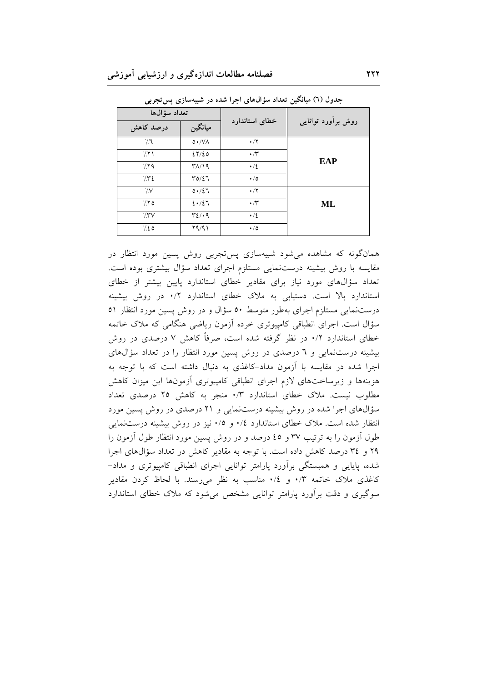| تعداد سؤالها |                     |                  | روش برآورد توانایی |
|--------------|---------------------|------------------|--------------------|
| درصد کاهش    | ميانگين             | خطای استاندارد   |                    |
| $\gamma$     | 0.7V                | $\cdot/7$        |                    |
| 711          | 27/20               | $\cdot$ /۳       | EAP                |
| 779          | $Y/\sqrt{9}$        | $\cdot/2$        |                    |
| $/$ ۳٤       | $Y0/\xi$            | $\cdot/0$        |                    |
| $\sqrt{V}$   | 0.121               | $\cdot/7$        |                    |
| 7.70         | 2.12                | $\cdot$ / $\tau$ | ML                 |
| $7.5\%$      | $\mathcal{Y}$ $($ . | $\cdot/2$        |                    |
| 7.20         | Y9/91               | $\cdot/0$        |                    |

جدول (٦) میانگین تعداد سؤالهای اجرا شده در شبیهسازی پس تجربی

همانگونه که مشاهده می شود شبیهسازی پستجربی روش پسین مورد انتظار در مقایسه با روش بیشینه درستنمایی مستلزم اجرای تعداد سؤال بیشتری بوده است. تعداد سؤالهای مورد نیاز برای مقادیر خطای استاندارد پایین بیشتر از خطای استاندارد بالا است. دستیابی به ملاک خطای استاندارد ۰/۲ در روش بیشینه درستنمایی مستلزم اجرای بهطور متوسط ٥٠ سؤال و در روش پسین مورد انتظار ٥١ سؤال است. اجرای انطباقی کامپیوتری خرده آزمون ریاضی هنگامی که ملاک خاتمه خطای استاندارد ۰/۲ در نظر گرفته شده است، صرفاً کاهش ۷ درصدی در روش بیشینه درستنمایی و ٦ درصدی در روش پسین مورد انتظار را در تعداد سؤالهای اجرا شده در مقایسه با آزمون مداد-کاغذی به دنبال داشته است که با توجه به هزینهها و زیرساختهای لازم اجرای انطباقی کامپیوتری آزمونها این میزان کاهش مطلوب نیست. ملاک خطای استاندارد ۰/۳ منجر به کاهش ۲۵ درصدی تعداد سؤالهای اجرا شده در روش بیشینه درستنمایی و ۲۱ درصدی در روش پسین مورد انتظار شده است. ملاک خطای استاندارد ۰/٤ و ۰/۵ نیز در روش بیشینه درستنمایی طول اّزمون را به ترتیب ۳۷ و ٤٥ درصد و در روش پسین مورد انتظار طول اّزمون را ۲۹ و ۳٤ درصد كاهش داده است. يا توجه به مقادير كاهش در تعداد سؤالهاى اجرا شده، پایایی و همبستگی برآورد پارامتر توانایی اجرای انطباقی کامپیوتری و مداد– کاغذی ملاک خاتمه ۰/۳ و ۰/۶ مناسب به نظر میرسند. با لحاظ کردن مقادیر سوگیری و دقت برأورد پارامتر توانایی مشخص می شود که ملاک خطای استاندارد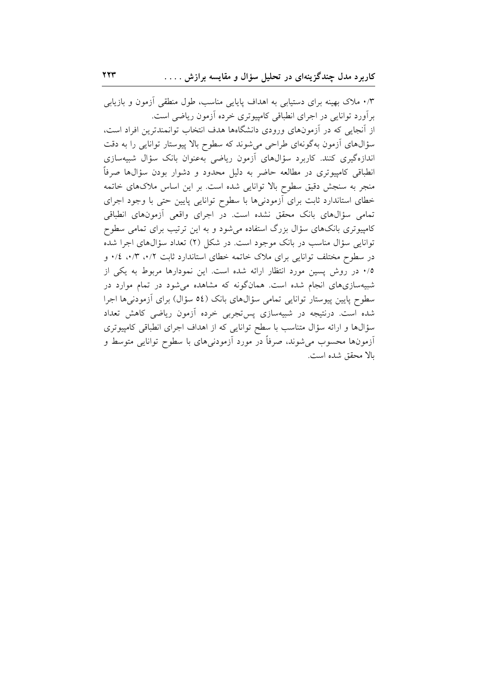۰/۳ ملاک بهینه برای دستیابی به اهداف پایایی مناسب، طول منطقی آزمون و بازیابی برآورد توانایی در اجرای انطباقی کامپیوتری خرده آزمون ریاضی است. از آنجایی که در آزمونهای ورودی دانشگاهها هدف انتخاب توانمندترین افراد است، سؤالهای أزمون بهگونهای طراحی میشوند که سطوح بالا پیوستار توانایی را به دقت اندازهگیری کنند. کاربرد سؤالهای آزمون ریاضی بهعنوان بانک سؤال شبیهسازی انطباقی کامپیوتری در مطالعه حاضر به دلیل محدود و دشوار بودن سؤال&ا صرفاً منجر به سنجش دقیق سطوح بالا توانایی شده است. بر این اساس ملاکهای خاتمه خطای استاندارد ثابت برای أزمودنیها با سطوح توانایی پایین حتی با وجود اجرای تمامی سؤالهای بانک محقق نشده است. در اجرای واقعی آزمونهای انطباقی کامپیوتری بانکهای سؤال بزرگ استفاده میشود و به این ترتیب برای تمامی سطوح توانایی سؤال مناسب در بانک موجود است. در شکل (۲) تعداد سؤالهای اجرا شده در سطوح مختلف توانایی برای ملاک خاتمه خطای استاندارد ثابت ۰/۳، ۰/۳، غ/۰ و ۰/۵ در روش پسین مورد انتظار ارائه شده است. این نمودارها مربوط به یکی از شبیهسازیهای انجام شده است. همانگونه که مشاهده میشود در تمام موارد در سطوح پایین پیوستار توانایی تمامی سؤال های بانک (٥٤ سؤال) برای آزمودنی ها اجرا شده است. درنتیجه در شبیهسازی پستجربی خرده آزمون ریاضی کاهش تعداد سؤالها و ارائه سؤال متناسب با سطح توانایی که از اهداف اجرای انطباقی کامپیوتری آزمونها محسوب مى شوند، صرفاً در مورد آزمودنىهاى با سطوح توانايى متوسط و بالا محقق شده است.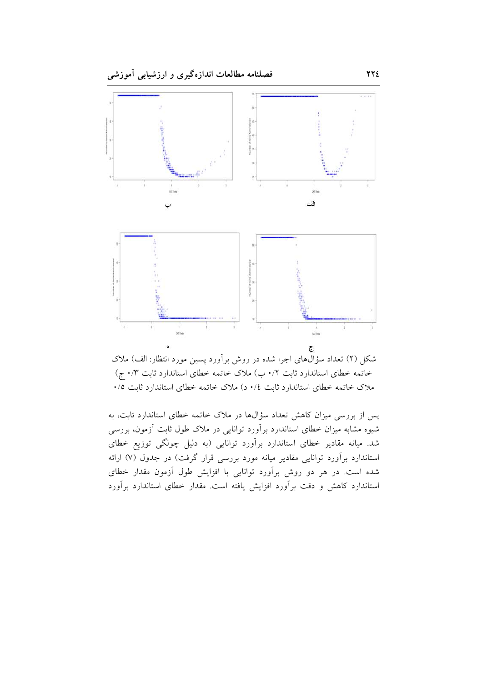

شکل (۲) تعداد سؤالهای اجرا شده در روش برآورد پسین مورد انتظار: الف) ملاک خاتمه خطای استاندارد ثابت ۰/۲ ب) ملاک خاتمه خطای استاندارد ثابت ۰/۳ ج) ملاک خاتمه خطای استاندارد ثابت ٠/٤ د) ملاک خاتمه خطای استاندارد ثابت ٠/٥

پس از بررسی میزان کاهش تعداد سؤالها در ملاک خاتمه خطای استاندارد ثابت، به شیوه مشابه میزان خطای استاندارد برآورد توانایی در ملاک طول ثابت آزمون، بررسی شد. میانه مقادیر خطای استاندارد برآورد توانایی (به دلیل چولگی توزیع خطای استاندارد برآورد توانایی مقادیر میانه مورد بررسی قرار گرفت) در جدول (۷) ارائه شده است. در هر دو روش برآورد توانایی با افزایش طول آزمون مقدار خطای استاندارد کاهش و دقت برآورد افزایش یافته است. مقدار خطای استاندارد برآورد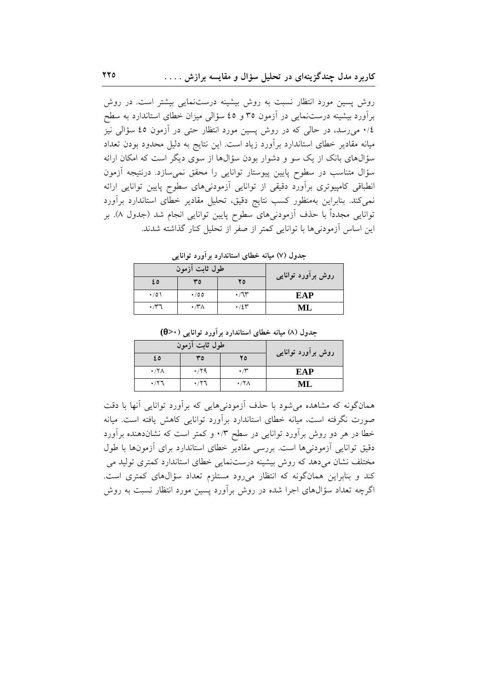روش یسین مورد انتظار نسبت به روش بیشینه درستنمایی بیشتر است. در روش برآورد بیشینه درستنمایی در آزمون ۳۵ و ٤٥ سؤالی میزان خطای استاندارد به سطح ٠/٤ میرسد، در حالی که در روش پسین مورد انتظار حتی در آزمون ٤٥ سؤالی نیز میانه مقادیر خطای استاندارد برآورد زیاد است. این نتایج به دلیل محدود بودن تعداد سؤالهای بانک از یک سو و دشوار بودن سؤالها از سوی دیگر است که امکان ارائه سؤال متناسب در سطوح پایین پیوستار توانایی را محقق نمی سازد. درنتیجه آزمون انطباقی کامپیوتری برآورد دقیقی از توانایی آزمودنیهای سطوح پایین توانایی ارائه نمیکند. بنابراین بهمنظور کسب نتایج دقیق، تحلیل مقادیر خطای استاندارد برآورد توانایی مجدداً با حذف آزمودنیهای سطوح پایین توانایی انجام شد (جدول ۸). بر این اساس اَزمودنی ها با توانایی کمتر از صفر از تحلیل کنار گذاشته شدند.

جدول (۷) میانه خطای استاندارد بر آورد توانایی

| روش برآورد توانایی | طول ثابت آزمون       |                     |           |  |  |
|--------------------|----------------------|---------------------|-----------|--|--|
|                    | ۲٥                   | ٣٥                  | ٥ ٤       |  |  |
| EAP                | $\cdot$ / $\uparrow$ | $\cdot$ /00         | $\cdot/0$ |  |  |
| MI.                | $\cdot$ /2۳          | $\cdot$ /۳ $\wedge$ |           |  |  |

|                    | طول ثابت آزمون      |                                 |                                 |  |  |  |
|--------------------|---------------------|---------------------------------|---------------------------------|--|--|--|
| روش برأورد توانایی | ۲٥                  | ٣٥                              | ٤٥                              |  |  |  |
| EAP                | $\cdot$ /۳          | $\cdot$ /29                     | $\cdot$ /۲ $\wedge$             |  |  |  |
| МL                 | $\cdot$ /۲ $\wedge$ | $\cdot$ / $\uparrow$ $\uparrow$ | $\cdot$ / $\uparrow$ $\uparrow$ |  |  |  |

جدول (۸) میانه خطای استاندارد بر آورد توانایی (۰×0)

همانگونه که مشاهده می شود با حذف آزمودنی هایی که برآورد توانایی آنها با دقت صورت نگرفته است، میانه خطای استاندارد برآورد توانایی کاهش یافته است. میانه خطا در هر دو روش برآورد توانایی در سطح ۰/۳ و کمتر است که نشاندهنده برآورد دقیق توانایی آزمودنی ها است. بررسی مقادیر خطای استاندارد برای آزمونها با طول مختلف نشان میدهد که روش بیشینه درستنمایی خطای استاندارد کمتری تولید می کند و بنابراین همانگونه که انتظار میرود مستلزم تعداد سؤالهای کمتری است. اگرچه تعداد سؤالهای اجرا شده در روش برآورد پسین مورد انتظار نسبت به روش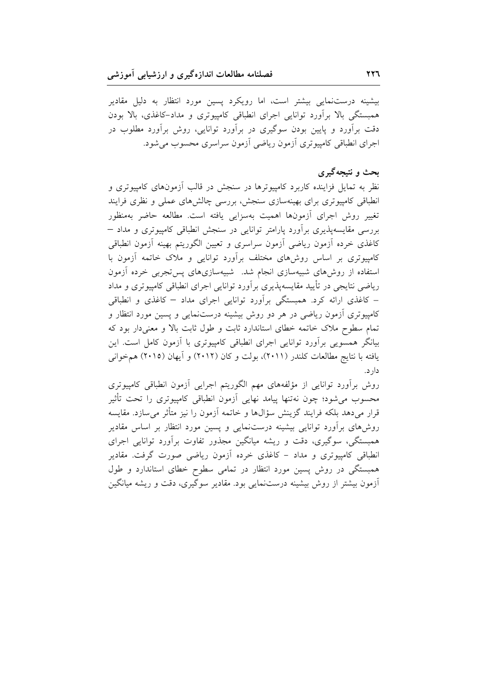بیشینه درستنمایی بیشتر است، اما رویکرد پسین مورد انتظار به دلیل مقادیر همبستگی بالا برآورد توانایی اجرای انطباقی کامپیوتری و مداد-کاغذی، بالا بودن دقت برآورد و پایین بودن سوگیری در برآورد توانایی، روش برآورد مطلوب در اجرای انطباقی کامپیوتری أزمون ریاضی أزمون سراسری محسوب میشود.

## بحث و نتیجهگیری

نظر به تمایل فزاینده کاربرد کامپیوترها در سنجش در قالب اَزمونهای کامپیوتری و انطباقی کامپیوتری برای بهینهسازی سنجش، بررسی چالش های عملی و نظری فرایند تغییر روش اجرای أزمونها اهمیت بهسزایی یافته است. مطالعه حاضر بهمنظور بررسی مقایسهپذیری برآورد پارامتر توانایی در سنجش انطباقی کامپیوتری و مداد – كاغذى خرده أزمون رياضي أزمون سراسري و تعيين الگوريتم بهينه أزمون انطباقي کامپیوتری بر اساس روش۵ای مختلف برآورد توانایی و ملاک خاتمه آزمون با استفاده از روش های شبیهسازی انجام شد. شبیهسازیهای پس تجربی خرده آزمون ریاضی نتایجی در تأیید مقایسهپذیری برأورد توانایی اجرای انطباقی کامپیوتری و مداد – کاغذی ارائه کرد. همبستگی برآورد توانایی اجرای مداد – کاغذی و انطباقی کامپیوتری اَزمون ریاضی در هر دو روش بیشینه درستنمایی و پسین مورد انتظار و تمام سطوح ملاک خاتمه خطای استاندارد ثابت و طول ثابت بالا و معنی دار بود که بیانگر همسویی برأورد توانایی اجرای انطباقی کامپیوتری با أزمون کامل است. این یافته با نتایج مطالعات کلندر (۲۰۱۱)، بولت و کان (۲۰۱۲) و آیهان (۲۰۱۵) هم خوانی دار د.

روش برأورد توانایی از مؤلفههای مهم الگوریتم اجرایی أزمون انطباقی کامپیوتری محسوب میشود؛ چون نهتنها پیامد نهایی أزمون انطباقی کامپیوتری را تحت تأثیر قرار میدهد بلکه فرایند گزینش سؤالها و خاتمه آزمون را نیز متأثر میسازد. مقایسه روش۵ای برآورد توانایی بیشینه درستنمایی و پسین مورد انتظار بر اساس مقادیر همبستگی، سوگیری، دقت و ریشه میانگین مجذور تفاوت برأورد توانایی اجرای انطباقی کامپیوتری و مداد – کاغذی خرده أزمون ریاضی صورت گرفت. مقادیر همبستگی در روش پسین مورد انتظار در تمامی سطوح خطای استاندارد و طول آزمون بیشتر از روش بیشینه درستنمایی بود. مقادیر سوگیری، دقت و ریشه میانگین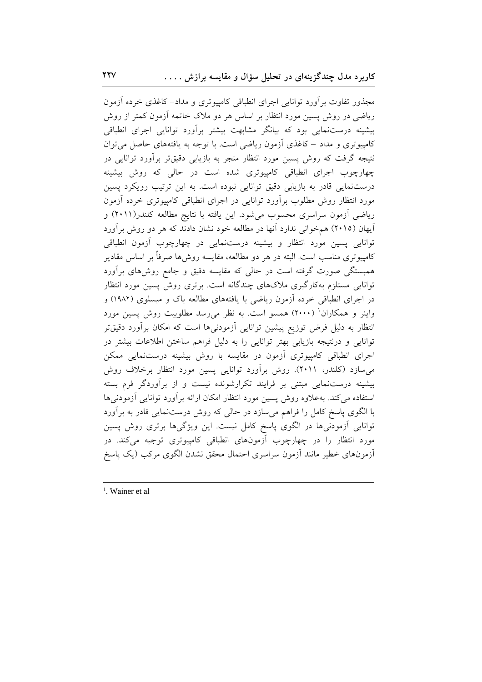مجذور تفاوت برأورد توانایی اجرای انطباقی کامپیوتری و مداد–کاغذی خرده أزمون ریاضی در روش پسین مورد انتظار بر اساس هر دو ملاک خاتمه اَزمون کمتر از روش بیشینه درستنمایی بود که بیانگر مشابهت بیشتر برآورد توانایی اجرای انطباقی کامپیوتری و مداد – کاغذی آزمون ریاضی است. با توجه به یافتههای حاصل می توان نتیجه گرفت که روش پسین مورد انتظار منجر به بازیابی دقیقتر برآورد توانایی در چهارچوب اجرای انطباقی کامپیوتری شده است در حالی که روش بیشینه درستنمایی قادر به بازیابی دقیق توانایی نبوده است. به این ترتیب رویکرد پسین مورد انتظار روش مطلوب برأورد توانايي در اجراي انطباقي كامپيوتري خرده أزمون ریاضی آزمون سراسری محسوب میشود. این یافته با نتایج مطالعه کلندر(۲۰۱۱) و آيهان (٢٠١٥) هم خواني ندارد آنها در مطالعه خود نشان دادند كه هر دو روش برآورد توانایی پسین مورد انتظار و بیشینه درستنمایی در چهارچوب آزمون انطباقی کامپیوتری مناسب است. البته در هر دو مطالعه، مقایسه روش۵ها صرفاً بر اساس مقادیر همبستگی صورت گرفته است در حالی که مقایسه دقیق و جامع روش۵ای برآورد توانایی مستلزم بهکارگیری ملاکهای چندگانه است. برتری روش پسین مورد انتظار در اجرای انطباقی خرده آزمون ریاضی با یافتههای مطالعه باک و میسلوی (۱۹۸۲) و واینر و همکاران<sup>(</sup> (۲۰۰۰) همسو است. به نظر می رسد مطلوبیت روش پسین مورد انتظار به دلیل فرض توزیع پیشین توانایی آزمودنیها است که امکان برآورد دقیقتر توانایی و درنتیجه بازیابی بهتر توانایی را به دلیل فراهم ساختن اطلاعات بیشتر در اجرای انطباقی کامپیوتری أزمون در مقایسه با روش بیشینه درستنمایی ممکن می سازد (کلندر، ۲۰۱۱). روش برآورد توانایی پسین مورد انتظار برخلاف روش بیشینه درستنمایی مبتنی بر فرایند تکرارشونده نیست و از برآوردگر فرم بسته استفاده می کند. بهعلاوه روش پسین مورد انتظار امکان ارائه برآورد توانایی آزمودنیها با الگوی پاسخ کامل را فراهم میسازد در حالی که روش درستنمایی قادر به برآورد توانایی اَزمودنی۵ا در الگوی پاسخ کامل نیست. این ویژگی۱ها برتری روش پسین مورد انتظار را در چهارچوب آزمونهای انطباقی کامپیوتری توجیه میکند. در أزمونهاى خطير مانند أزمون سراسرى احتمال محقق نشدن الگوى مركب (يك پاسخ

 $<sup>1</sup>$ . Wainer et al</sup>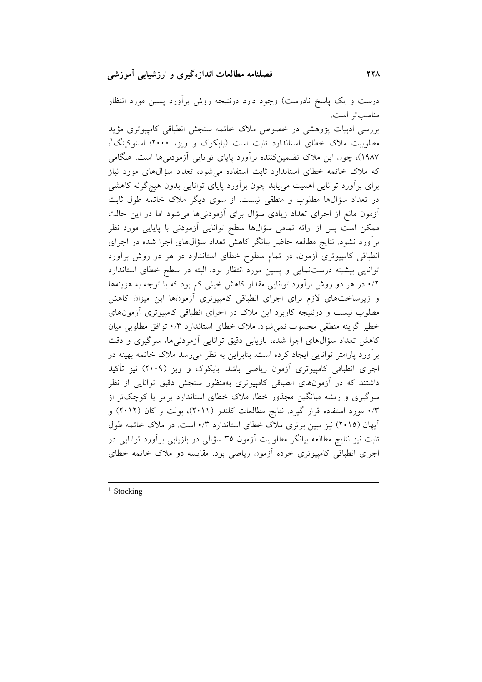درست و یک پاسخ نادرست) وجود دارد درنتیجه روش برآورد پسین مورد انتظار مناسب تر است. بررسی ادبیات یژوهشی در خصوص ملاک خاتمه سنجش انطباقی کامپیوتری مؤید مطلوبیت ملاک خطای استاندارد ثابت است (بابکوک و ویز، ۲۰۰۰؛ استوکینگ'، ١٩٨٧)، چون این ملاک تضمینکننده برآورد پایای توانایی آزمودنیها است. هنگامی که ملاک خاتمه خطای استاندارد ثابت استفاده میشود، تعداد سؤالهای مورد نیاز برای برآورد توانایی اهمیت میbبابد چون برآورد پایای توانایی بدون هیچگونه کاهشی در تعداد سؤالها مطلوب و منطقی نیست. از سوی دیگر ملاک خاتمه طول ثابت آزمون مانع از اجرای تعداد زیادی سؤال برای آزمودنیها میشود اما در این حالت ممکن است پس از ارائه تمامی سؤالها سطح توانایی آزمودنی با پایایی مورد نظر برآورد نشود. نتایج مطالعه حاضر بیانگر کاهش تعداد سؤالهای اجرا شده در اجرای انطباقی کامپیوتری آزمون، در تمام سطوح خطای استاندارد در هر دو روش برآورد توانایی بیشینه درستنمایی و پسین مورد انتظار بود، البته در سطح خطای استاندارد ۰/۲ در هر دو روش برآورد توانایی مقدار کاهش خیلی کم بود که با توجه به هزینهها و زیرساختهای لازم برای اجرای انطباقی کامپیوتری آزمونها این میزان کاهش مطلوب نیست و درنتیجه کاربرد این ملاک در اجرای انطباقی کامپیوتری أزمونهای خطیر گزینه منطقی محسوب نمی شود. ملاک خطای استاندارد ۰/۳ توافق مطلوبی میان کاهش تعداد سؤالهای اجرا شده، بازیابی دقیق توانایی أزمودنیها، سوگیری و دقت برآورد پارامتر توانایی ایجاد کرده است. بنابراین به نظر می رسد ملاک خاتمه بهینه در اجرای انطباقی کامپیوتری آزمون ریاضی باشد. بابکوک و ویز (۲۰۰۹) نیز تأکید داشتند که در أزمونهای انطباقی کامپیوتری بهمنظور سنجش دقیق توانایی از نظر سوگیری و ریشه میانگین مجذور خطا، ملاک خطای استاندارد برابر یا کوچکتر از ۰/۳ مورد استفاده قرار گیرد. نتایج مطالعات کلندر (۲۰۱۱)، بولت و کان (۲۰۱۲) و <sub>.</sub><br>آیهان (۲۰۱۵) نیز مبین برتری ملاک خطای استاندارد ۰/۳ است. در ملاک خاتمه طول ثابت نیز نتایج مطالعه بیانگر مطلوبیت اَزمون ۳۵ سؤالی در بازیابی براَورد توانایی در اجرای انطباقی کامپیوتری خرده آزمون ریاضی بود. مقایسه دو ملاک خاتمه خطای

 $<sup>1</sup>$ . Stocking</sup>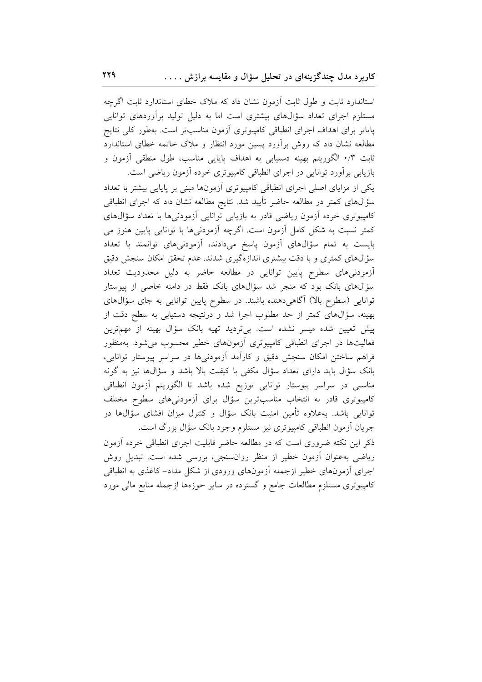استاندارد ثابت و طول ثابت آزمون نشان داد که ملاک خطای استاندارد ثابت اگرچه مستلزم اجرای تعداد سؤالهای بیشتری است اما به دلیل تولید برآوردهای توانایی پایاتر برای اهداف اجرای انطباقی کامپیوتری آزمون مناسبتر است. بهطور کلی نتایج مطالعه نشان داد که روش برأورد پسین مورد انتظار و ملاک خاتمه خطای استاندارد ثابت ۰/۳ الگوریتم بهینه دستیابی به اهداف پایایی مناسب، طول منطقی اَزمون و بازیابی برآورد توانایی در اجرای انطباقی کامپیوتری خرده آزمون ریاضی است.

یکی از مزایای اصلی اجرای انطباقی کامپیوتری آزمونها مبنی بر پایایی بیشتر با تعداد سؤالهای کمتر در مطالعه حاضر تأیید شد. نتایج مطالعه نشان داد که اجرای انطباقی کامپیوتری خرده آزمون ریاضی قادر به بازیابی توانایی آزمودنیها با تعداد سؤالهای کمتر نسبت به شکل کامل آزمون است. اگرچه آزمودنیها با توانایی پایین هنوز می بایست به تمام سؤالهای آزمون پاسخ میدادند، آزمودنیهای توانمند با تعداد سؤالهای کمتری و با دقت بیشتری اندازهگیری شدند. عدم تحقق امکان سنجش دقیق آزمودنیهای سطوح پایین توانایی در مطالعه حاضر به دلیل محدودیت تعداد سؤالهای بانک بود که منجر شد سؤالهای بانک فقط در دامنه خاصی از پیوستار توانایی (سطوح بالا) آگاهیدهنده باشند. در سطوح پایین توانایی به جای سؤالهای بهینه، سؤالهای کمتر از حد مطلوب اجرا شد و درنتیجه دستیابی به سطح دقت از پیش تعیین شده میسر نشده است. بیتردید تهیه بانک سؤال بهینه از مهمترین فعالیتها در اجرای انطباقی کامپیوتری آزمونهای خطیر محسوب می شود. بهمنظور فراهم ساختن امکان سنجش دقیق و کارأمد أزمودنیها در سراسر پیوستار توانایی، بانک سؤال باید دارای تعداد سؤال مکفی با کیفیت بالا باشد و سؤالها نیز به گونه مناسبی در سراسر پیوستار توانایی توزیع شده باشد تا الگوریتم آزمون انطباقی کامپیوتری قادر به انتخاب مناسبترین سؤال برای أزمودنیهای سطوح مختلف توانایی باشد. بهعلاوه تأمین امنیت بانک سؤال و کنترل میزان افشای سؤالها در جریان أزمون انطباقی کامپیوتری نیز مستلزم وجود بانک سؤال بزرگ است.

ذکر این نکته ضروری است که در مطالعه حاضر قابلیت اجرای انطباقی خرده آزمون ریاضی بهعنوان أزمون خطیر از منظر روان سنجی، بررسی شده است. تبدیل روش اجرای آزمونهای خطیر ازجمله آزمونهای ورودی از شکل مداد- کاغذی به انطباقی کامپیوتری مستلزم مطالعات جامع و گسترده در سایر حوزهها ازجمله منابع مالی مورد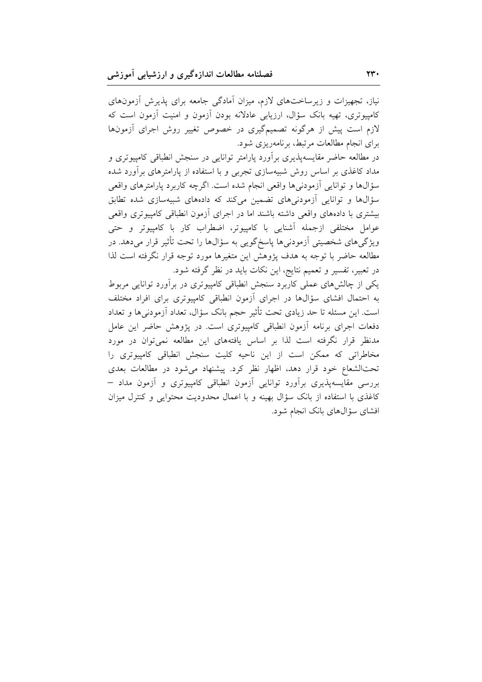نیاز، تجهیزات و زیرساختهای لازم، میزان آمادگی جامعه برای پذیرش آزمونهای کامپیوتری، تهیه بانک سؤال، ارزیابی عادلانه بودن آزمون و امنیت آزمون است که لازم است پیش از هرگونه تصمیمگیری در خصوص تغییر روش اجرای آزمونها برای انجام مطالعات مرتبط، برنامهریزی شود.

در مطالعه حاضر مقایسهپذیری برآورد پارامتر توانایی در سنجش انطباقی کامپیوتری و مداد کاغذی بر اساس روش شبیهسازی تجربی و با استفاده از پارامترهای برآورد شده سؤالها و توانایی ازمودنیها واقعی انجام شده است. اگرچه کاربرد پارامترهای واقعی سؤالها و توانایی آزمودنیهای تضمین میکند که دادههای شبیهسازی شده تطابق بیشتری با دادههای واقعی داشته باشند اما در اجرای آزمون انطباقی کامپیوتری واقعی عوامل مختلفی ازجمله آشنایی با کامپیوتر، اضطراب کار با کامپیوتر و حتی ویژگیهای شخصیتی آزمودنیها پاسخگویی به سؤالها را تحت تأثیر قرار میدهد. در مطالعه حاضر با توجه به هدف پژوهش این متغیرها مورد توجه قرار نگرفته است لذا در تعبیر، تفسیر و تعمیم نتایج، این نکات باید در نظر گرفته شود.

یکی از چالشهای عملی کاربرد سنجش انطباقی کامپیوتری در برآورد توانایی مربوط به احتمال افشای سؤالها در اجرای أزمون انطباقی کامپیوتری برای افراد مختلف است. این مسئله تا حد زیادی تحت تأثیر حجم بانک سؤال، تعداد آزمودنی۵ا و تعداد دفعات اجرای برنامه آزمون انطباقی کامپیوتری است. در پژوهش حاضر این عامل مدنظر قرار نگرفته است لذا بر اساس یافتههای این مطالعه نمیتوان در مورد مخاطراتی که ممکن است از این ناحیه کلیت سنجش انطباقی کامپیوتری را تحتالشعاع خود قرار دهد، اظهار نظر کرد. پیشنهاد می شود در مطالعات بعدی بررسی مقایسهپذیری برأورد توانایی أزمون انطباقی کامپیوتری و أزمون مداد — كاغذى با استفاده از بانك سؤال بهينه و با اعمال محدوديت محتوايي و كنترل ميزان افشای سؤالهای بانک انجام شود.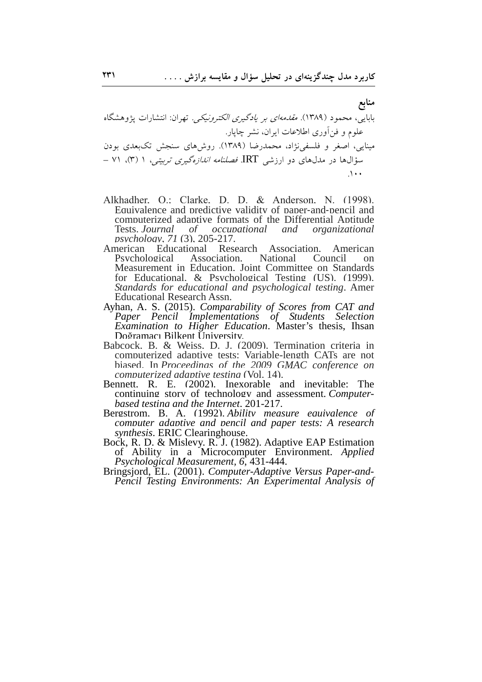- Alkhadher. O.: Clarke. D. D. & Anderson. N. (1998). Equivalence and predictive validity of paper-and-pencil and computerized adaptive formats of the Differential Aptitude Tests *Journal*  $of$ *occupational* and organizational  $n$ sychology. 71 $(3)$ . 205-217.
- American Educational Research Association. American National Psychological Association. Council  $\alpha$ Measurement in Education. Joint Committee on Standards for Educational. & Psychological Testing (US). (1999). Standards for educational and psychological testing. Amer **Educational Research Assn.**
- Ayhan, A. S. (2015). Comparability of Scores from CAT and Paper Pencil Implementations of Students Selection Examination to Higher Education. Master's thesis, Ihsan Doğramacı Bilkent University.
- Babcock. B. & Weiss. D. J. (2009). Termination criteria in computerized adaptive tests: Variable-length CATs are not biased. In Proceedings of the 2009 GMAC conference on *computerized adaptive testing (Vol. 14).*
- Bennett. R. E. (2002). Inexorable and inevitable: The continuing story of technology and assessment. Computerbased testing and the Internet, 201-217.
- Bergstrom. B. A. (1992). Ability measure eauivalence of computer adaptive and pencil and paper tests: A research *synthesis.* ERIC Clearinghouse.
- Bock, R. D. & Mislevy. R. J. (1982). Adaptive EAP Estimation of Ability in a Microcomputer Environment. Applied Psychological Measurement, 6, 431-444.
- Bringsjord, EL. (2001). Computer-Adaptive Versus Paper-and-Pencil Testing Environments: An Experimental Analysis of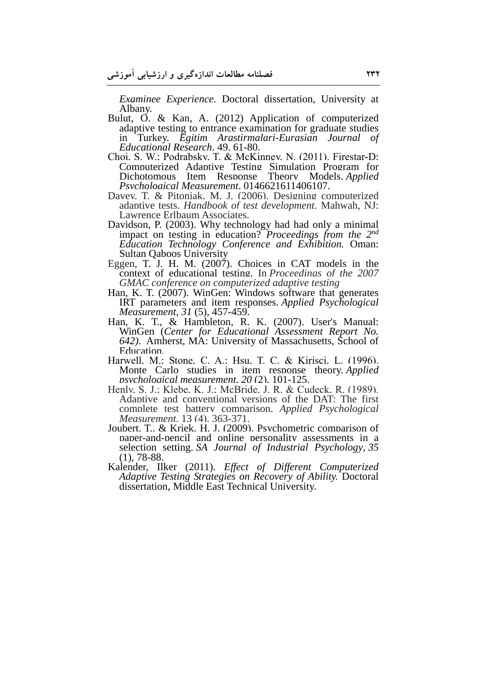*Examinee Experience.* Doctoral dissertation, University at Albany.

- Bulut, O. & Kan, A. (2012) Application of computerized adaptive testing to entrance examination for graduate studies in Turkey. *Egitim Arastirmalari-Eurasian Journal of Educational Research,* 49, 61-80.
- Choi, S. W.; Podrabsky, T. & McKinney, N. (2011). Firestar-D: Computerized Adaptive Testing Simulation Program for Dichotomous Item Response Theory Models. *Applied Psychological Measurement*, 0146621611406107.
- Davey, T. & Pitoniak, M. J. (2006). Designing computerized adaptive tests. *Handbook of test development.* Mahwah, NJ: Lawrence Erlbaum Associates.
- Davidson, P. (2003). Why technology had had only a minimal impact on testing in education? *Proceedings from the 2nd Education Technology Conference and Exhibition.* Oman: Sultan Qaboos University
- Eggen, T. J. H. M. (2007). Choices in CAT models in the context of educational testing. In *Proceedings of the 2007 GMAC conference on computerized adaptive testing*
- Han, K. T. (2007). WinGen: Windows software that generates IRT parameters and item responses. *Applied Psychological Measurement, 31* (5), 457-459.
- Han, K. T., & Hambleton, R. K. (2007). User's Manual: WinGen (*Center for Educational Assessment Report No. 642)*. Amherst, MA: University of Massachusetts, School of Education.
- Harwell, M.; Stone, C. A.; Hsu, T. C. & Kirisci, L. (1996). Monte Carlo studies in item response theory. *Applied psychological measurement*, *20* (2), 101-125.
- Henly, S. J.; Klebe, K. J.; McBride, J. R. & Cudeck, R. (1989). Adaptive and conventional versions of the DAT: The first complete test battery comparison. *Applied Psychological Measurement*, 13 (4), 363-371.
- Joubert, T., & Kriek, H. J. (2009). Psychometric comparison of paper-and-pencil and online personality assessments in a selection setting. *SA Journal of Industrial Psychology*, *35* (1), 78-88.
- Kalender, Ilker (2011). *Effect of Different Computerized Adaptive Testing Strategies on Recovery of Ability.* Doctoral dissertation, Middle East Technical University.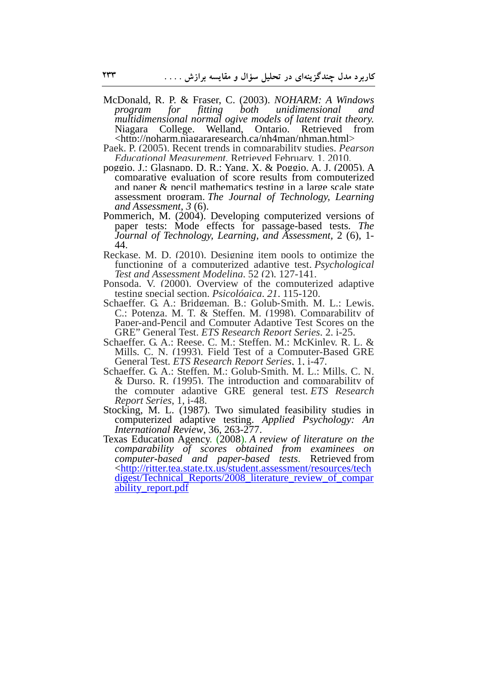- McDonald, R. P. & Fraser, C. (2003). *NOHARM: A Windows program for fitting both unidimensional and multidimensional normal ogive models of latent trait theory.* Niagara College. Welland, Ontario. Retrieved from <http://noharm.niagararesearch.ca/nh4man/nhman.html>
- Paek, P. (2005). Recent trends in comparability studies. *Pearson Educational Measurement.* Retrieved February, 1, 2010.
- poggio, J.; Glasnapp, D. R.; Yang, X. & Poggio, A. J. (2005). A comparative evaluation of score results from computerized and paper & pencil mathematics testing in a large scale state assessment program. *The Journal of Technology, Learning and Assessment*, *3* (6).
- Pommerich, M. (2004). Developing computerized versions of paper tests: Mode effects for passage-based tests. *The Journal of Technology, Learning, and Assessment,* 2 (6), 1- 44.
- Reckase, M. D. (2010). Designing item pools to optimize the functioning of a computerized adaptive test. *Psychological Test and Assessment Modeling*, 52 (2), 127-141.
- Ponsoda, V. (2000). Overview of the computerized adaptive testing special section. *Psicológica*, *21*, 115-120.
- Schaeffer, G. A.; Bridgeman, B.; Golub‐Smith, M. L.; Lewis, C.; Potenza, M. T. & Steffen, M. (1998). Comparability of Paper-and-Pencil and Computer Adaptive Test Scores on the GRE" General Test. *ETS Research Report Series*, 2, i-25.
- Schaeffer, G. A.; Reese, C. M.; Steffen, M.; McKinley, R. L. & Mills, C. N. (1993). Field Test of a Computer-Based GRE General Test. *ETS Research Report Series*, 1, i-47.
- Schaeffer, G. A.; Steffen, M.; Golub‐Smith, M. L.; Mills, C. N. & Durso, R. (1995). The introduction and comparability of the computer adaptive GRE general test. *ETS Research Report Series*, 1, i-48.
- Stocking, M. L. (1987). Two simulated feasibility studies in computerized adaptive testing. *Applied Psychology: An International Review*, 36, 263-277.
- Texas Education Agency. (2008). *A review of literature on the comparability of scores obtained from examinees on computer-based and paper-based tests*. Retrieved from <http://ritter.tea.state.tx.us/student.assessment/resources/tech digest/Technical\_Reports/2008\_literature\_review\_of\_compar ability\_report.pdf